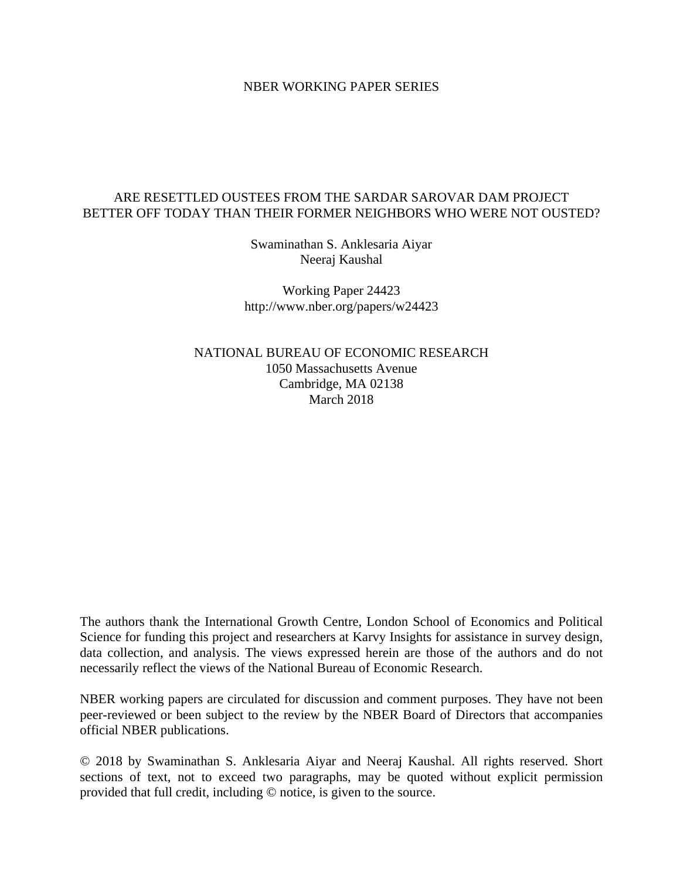### NBER WORKING PAPER SERIES

## ARE RESETTLED OUSTEES FROM THE SARDAR SAROVAR DAM PROJECT BETTER OFF TODAY THAN THEIR FORMER NEIGHBORS WHO WERE NOT OUSTED?

Swaminathan S. Anklesaria Aiyar Neeraj Kaushal

Working Paper 24423 http://www.nber.org/papers/w24423

NATIONAL BUREAU OF ECONOMIC RESEARCH 1050 Massachusetts Avenue Cambridge, MA 02138 March 2018

The authors thank the International Growth Centre, London School of Economics and Political Science for funding this project and researchers at Karvy Insights for assistance in survey design, data collection, and analysis. The views expressed herein are those of the authors and do not necessarily reflect the views of the National Bureau of Economic Research.

NBER working papers are circulated for discussion and comment purposes. They have not been peer-reviewed or been subject to the review by the NBER Board of Directors that accompanies official NBER publications.

© 2018 by Swaminathan S. Anklesaria Aiyar and Neeraj Kaushal. All rights reserved. Short sections of text, not to exceed two paragraphs, may be quoted without explicit permission provided that full credit, including © notice, is given to the source.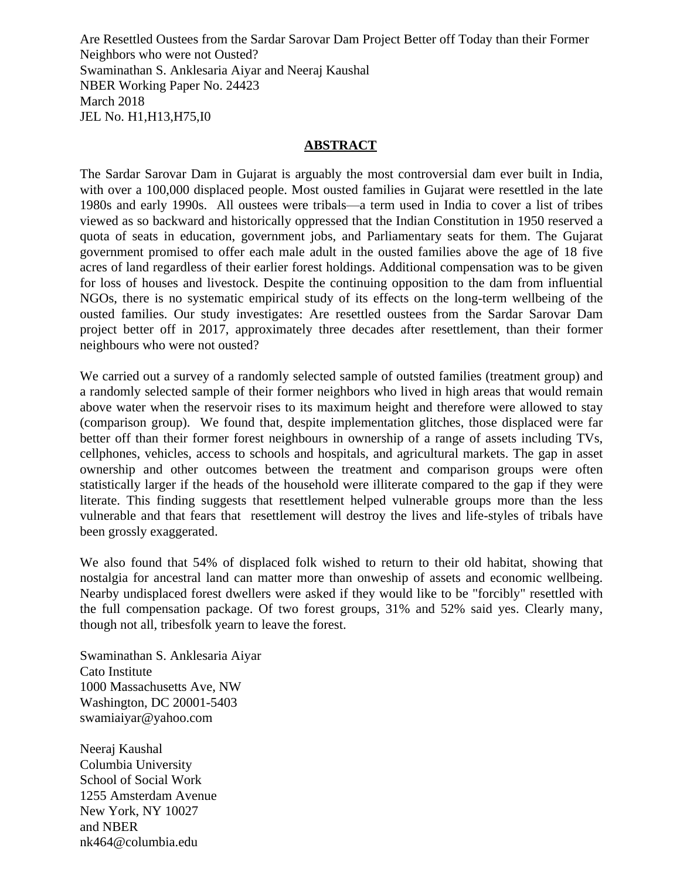Are Resettled Oustees from the Sardar Sarovar Dam Project Better off Today than their Former Neighbors who were not Ousted? Swaminathan S. Anklesaria Aiyar and Neeraj Kaushal NBER Working Paper No. 24423 March 2018 JEL No. H1,H13,H75,I0

## **ABSTRACT**

The Sardar Sarovar Dam in Gujarat is arguably the most controversial dam ever built in India, with over a 100,000 displaced people. Most ousted families in Gujarat were resettled in the late 1980s and early 1990s. All oustees were tribals—a term used in India to cover a list of tribes viewed as so backward and historically oppressed that the Indian Constitution in 1950 reserved a quota of seats in education, government jobs, and Parliamentary seats for them. The Gujarat government promised to offer each male adult in the ousted families above the age of 18 five acres of land regardless of their earlier forest holdings. Additional compensation was to be given for loss of houses and livestock. Despite the continuing opposition to the dam from influential NGOs, there is no systematic empirical study of its effects on the long-term wellbeing of the ousted families. Our study investigates: Are resettled oustees from the Sardar Sarovar Dam project better off in 2017, approximately three decades after resettlement, than their former neighbours who were not ousted?

We carried out a survey of a randomly selected sample of outsted families (treatment group) and a randomly selected sample of their former neighbors who lived in high areas that would remain above water when the reservoir rises to its maximum height and therefore were allowed to stay (comparison group). We found that, despite implementation glitches, those displaced were far better off than their former forest neighbours in ownership of a range of assets including TVs, cellphones, vehicles, access to schools and hospitals, and agricultural markets. The gap in asset ownership and other outcomes between the treatment and comparison groups were often statistically larger if the heads of the household were illiterate compared to the gap if they were literate. This finding suggests that resettlement helped vulnerable groups more than the less vulnerable and that fears that resettlement will destroy the lives and life-styles of tribals have been grossly exaggerated.

We also found that 54% of displaced folk wished to return to their old habitat, showing that nostalgia for ancestral land can matter more than onweship of assets and economic wellbeing. Nearby undisplaced forest dwellers were asked if they would like to be "forcibly" resettled with the full compensation package. Of two forest groups, 31% and 52% said yes. Clearly many, though not all, tribesfolk yearn to leave the forest.

Swaminathan S. Anklesaria Aiyar Cato Institute 1000 Massachusetts Ave, NW Washington, DC 20001-5403 swamiaiyar@yahoo.com

Neeraj Kaushal Columbia University School of Social Work 1255 Amsterdam Avenue New York, NY 10027 and NBER nk464@columbia.edu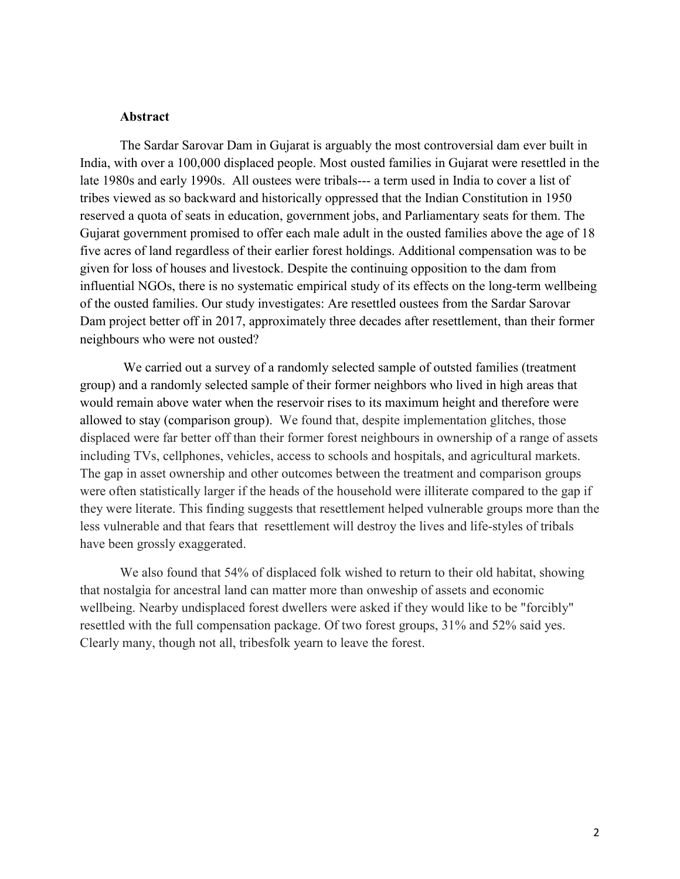#### **Abstract**

The Sardar Sarovar Dam in Gujarat is arguably the most controversial dam ever built in India, with over a 100,000 displaced people. Most ousted families in Gujarat were resettled in the late 1980s and early 1990s. All oustees were tribals--- a term used in India to cover a list of tribes viewed as so backward and historically oppressed that the Indian Constitution in 1950 reserved a quota of seats in education, government jobs, and Parliamentary seats for them. The Gujarat government promised to offer each male adult in the ousted families above the age of 18 five acres of land regardless of their earlier forest holdings. Additional compensation was to be given for loss of houses and livestock. Despite the continuing opposition to the dam from influential NGOs, there is no systematic empirical study of its effects on the long-term wellbeing of the ousted families. Our study investigates: Are resettled oustees from the Sardar Sarovar Dam project better off in 2017, approximately three decades after resettlement, than their former neighbours who were not ousted?

We carried out a survey of a randomly selected sample of outsted families (treatment group) and a randomly selected sample of their former neighbors who lived in high areas that would remain above water when the reservoir rises to its maximum height and therefore were allowed to stay (comparison group). We found that, despite implementation glitches, those displaced were far better off than their former forest neighbours in ownership of a range of assets including TVs, cellphones, vehicles, access to schools and hospitals, and agricultural markets. The gap in asset ownership and other outcomes between the treatment and comparison groups were often statistically larger if the heads of the household were illiterate compared to the gap if they were literate. This finding suggests that resettlement helped vulnerable groups more than the less vulnerable and that fears that resettlement will destroy the lives and life-styles of tribals have been grossly exaggerated.

We also found that 54% of displaced folk wished to return to their old habitat, showing that nostalgia for ancestral land can matter more than onweship of assets and economic wellbeing. Nearby undisplaced forest dwellers were asked if they would like to be "forcibly" resettled with the full compensation package. Of two forest groups, 31% and 52% said yes. Clearly many, though not all, tribesfolk yearn to leave the forest.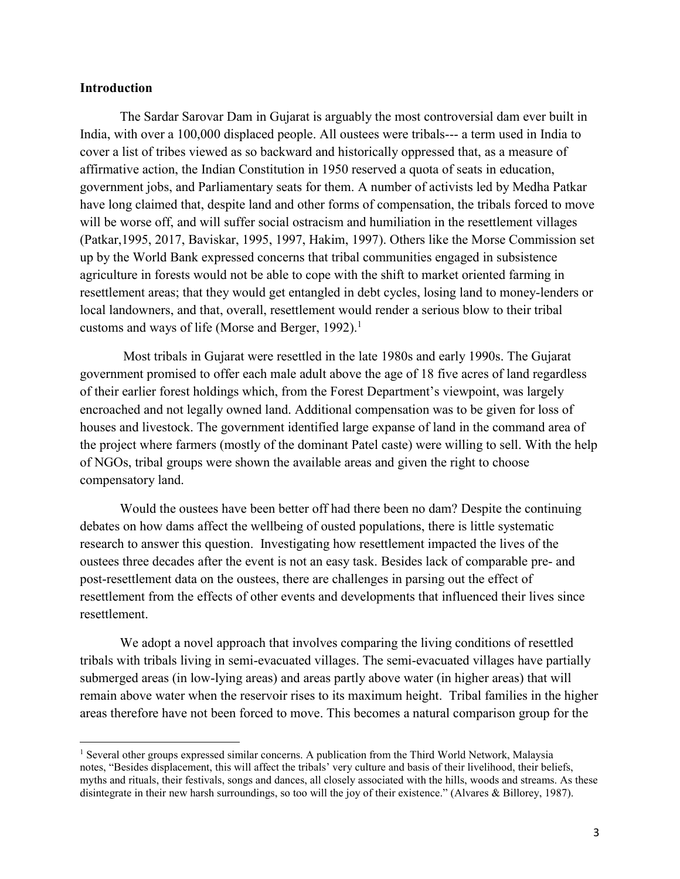### **Introduction**

 $\overline{a}$ 

The Sardar Sarovar Dam in Gujarat is arguably the most controversial dam ever built in India, with over a 100,000 displaced people. All oustees were tribals--- a term used in India to cover a list of tribes viewed as so backward and historically oppressed that, as a measure of affirmative action, the Indian Constitution in 1950 reserved a quota of seats in education, government jobs, and Parliamentary seats for them. A number of activists led by Medha Patkar have long claimed that, despite land and other forms of compensation, the tribals forced to move will be worse off, and will suffer social ostracism and humiliation in the resettlement villages (Patkar,1995, 2017, Baviskar, 1995, 1997, Hakim, 1997). Others like the Morse Commission set up by the World Bank expressed concerns that tribal communities engaged in subsistence agriculture in forests would not be able to cope with the shift to market oriented farming in resettlement areas; that they would get entangled in debt cycles, losing land to money-lenders or local landowners, and that, overall, resettlement would render a serious blow to their tribal customs and ways of life (Morse and Berger, 1992).<sup>1</sup>

Most tribals in Gujarat were resettled in the late 1980s and early 1990s. The Gujarat government promised to offer each male adult above the age of 18 five acres of land regardless of their earlier forest holdings which, from the Forest Department's viewpoint, was largely encroached and not legally owned land. Additional compensation was to be given for loss of houses and livestock. The government identified large expanse of land in the command area of the project where farmers (mostly of the dominant Patel caste) were willing to sell. With the help of NGOs, tribal groups were shown the available areas and given the right to choose compensatory land.

Would the oustees have been better off had there been no dam? Despite the continuing debates on how dams affect the wellbeing of ousted populations, there is little systematic research to answer this question. Investigating how resettlement impacted the lives of the oustees three decades after the event is not an easy task. Besides lack of comparable pre- and post-resettlement data on the oustees, there are challenges in parsing out the effect of resettlement from the effects of other events and developments that influenced their lives since resettlement.

We adopt a novel approach that involves comparing the living conditions of resettled tribals with tribals living in semi-evacuated villages. The semi-evacuated villages have partially submerged areas (in low-lying areas) and areas partly above water (in higher areas) that will remain above water when the reservoir rises to its maximum height. Tribal families in the higher areas therefore have not been forced to move. This becomes a natural comparison group for the

<sup>&</sup>lt;sup>1</sup> Several other groups expressed similar concerns. A publication from the Third World Network, Malaysia notes, "Besides displacement, this will affect the tribals' very culture and basis of their livelihood, their beliefs, myths and rituals, their festivals, songs and dances, all closely associated with the hills, woods and streams. As these disintegrate in their new harsh surroundings, so too will the joy of their existence." (Alvares & Billorey, 1987).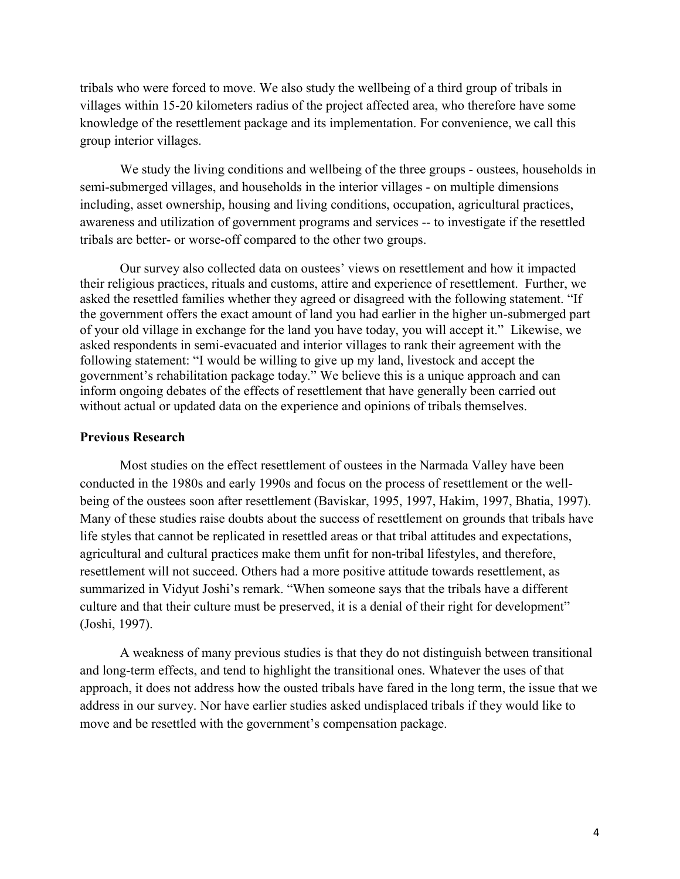tribals who were forced to move. We also study the wellbeing of a third group of tribals in villages within 15-20 kilometers radius of the project affected area, who therefore have some knowledge of the resettlement package and its implementation. For convenience, we call this group interior villages.

We study the living conditions and wellbeing of the three groups - oustees, households in semi-submerged villages, and households in the interior villages - on multiple dimensions including, asset ownership, housing and living conditions, occupation, agricultural practices, awareness and utilization of government programs and services -- to investigate if the resettled tribals are better- or worse-off compared to the other two groups.

Our survey also collected data on oustees' views on resettlement and how it impacted their religious practices, rituals and customs, attire and experience of resettlement. Further, we asked the resettled families whether they agreed or disagreed with the following statement. "If the government offers the exact amount of land you had earlier in the higher un-submerged part of your old village in exchange for the land you have today, you will accept it." Likewise, we asked respondents in semi-evacuated and interior villages to rank their agreement with the following statement: "I would be willing to give up my land, livestock and accept the government's rehabilitation package today." We believe this is a unique approach and can inform ongoing debates of the effects of resettlement that have generally been carried out without actual or updated data on the experience and opinions of tribals themselves.

### **Previous Research**

Most studies on the effect resettlement of oustees in the Narmada Valley have been conducted in the 1980s and early 1990s and focus on the process of resettlement or the wellbeing of the oustees soon after resettlement (Baviskar, 1995, 1997, Hakim, 1997, Bhatia, 1997). Many of these studies raise doubts about the success of resettlement on grounds that tribals have life styles that cannot be replicated in resettled areas or that tribal attitudes and expectations, agricultural and cultural practices make them unfit for non-tribal lifestyles, and therefore, resettlement will not succeed. Others had a more positive attitude towards resettlement, as summarized in Vidyut Joshi's remark. "When someone says that the tribals have a different culture and that their culture must be preserved, it is a denial of their right for development" (Joshi, 1997).

A weakness of many previous studies is that they do not distinguish between transitional and long-term effects, and tend to highlight the transitional ones. Whatever the uses of that approach, it does not address how the ousted tribals have fared in the long term, the issue that we address in our survey. Nor have earlier studies asked undisplaced tribals if they would like to move and be resettled with the government's compensation package.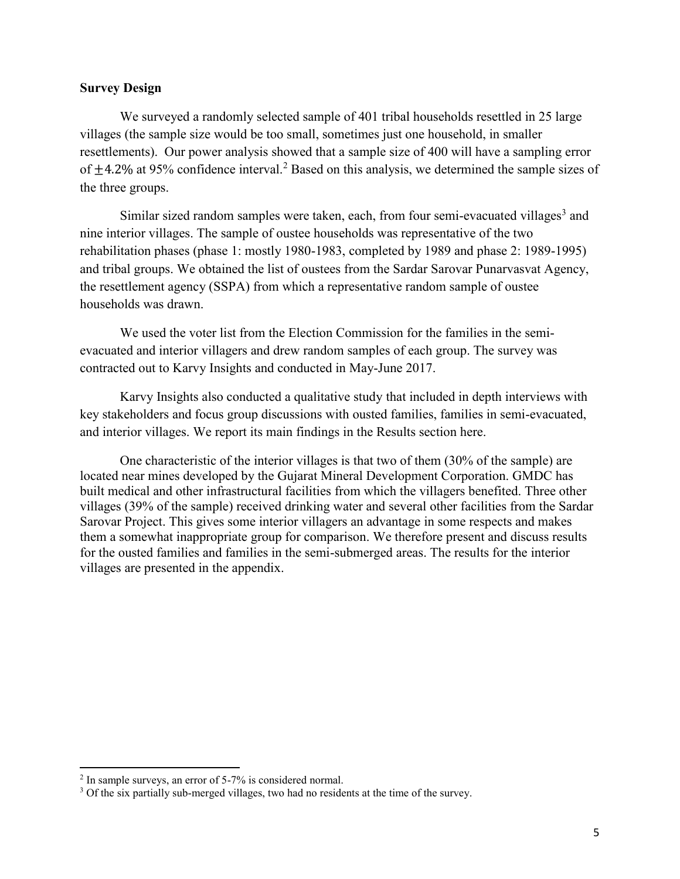## **Survey Design**

We surveyed a randomly selected sample of 401 tribal households resettled in 25 large villages (the sample size would be too small, sometimes just one household, in smaller resettlements). Our power analysis showed that a sample size of 400 will have a sampling error of  $\pm$ 4.2% at 95% confidence interval.<sup>2</sup> Based on this analysis, we determined the sample sizes of the three groups.

Similar sized random samples were taken, each, from four semi-evacuated villages<sup>3</sup> and nine interior villages. The sample of oustee households was representative of the two rehabilitation phases (phase 1: mostly 1980-1983, completed by 1989 and phase 2: 1989-1995) and tribal groups. We obtained the list of oustees from the Sardar Sarovar Punarvasvat Agency, the resettlement agency (SSPA) from which a representative random sample of oustee households was drawn.

We used the voter list from the Election Commission for the families in the semievacuated and interior villagers and drew random samples of each group. The survey was contracted out to Karvy Insights and conducted in May-June 2017.

Karvy Insights also conducted a qualitative study that included in depth interviews with key stakeholders and focus group discussions with ousted families, families in semi-evacuated, and interior villages. We report its main findings in the Results section here.

One characteristic of the interior villages is that two of them (30% of the sample) are located near mines developed by the Gujarat Mineral Development Corporation. GMDC has built medical and other infrastructural facilities from which the villagers benefited. Three other villages (39% of the sample) received drinking water and several other facilities from the Sardar Sarovar Project. This gives some interior villagers an advantage in some respects and makes them a somewhat inappropriate group for comparison. We therefore present and discuss results for the ousted families and families in the semi-submerged areas. The results for the interior villages are presented in the appendix.

 $\overline{a}$ 

<sup>&</sup>lt;sup>2</sup> In sample surveys, an error of 5-7% is considered normal.

<sup>&</sup>lt;sup>3</sup> Of the six partially sub-merged villages, two had no residents at the time of the survey.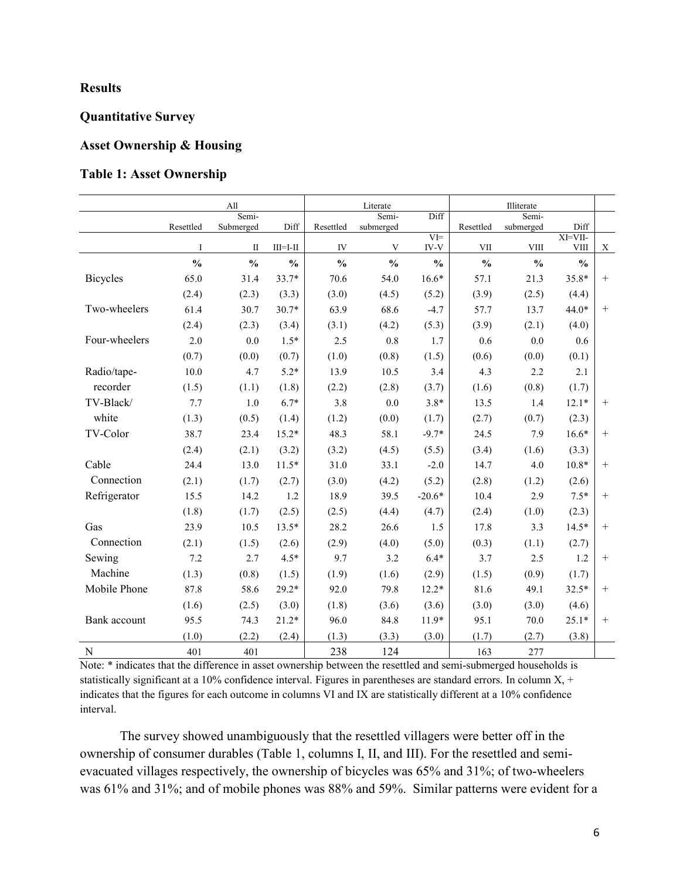## **Results**

## **Quantitative Survey**

#### **Asset Ownership & Housing**

### **Table 1: Asset Ownership**

|                 |               | All           |                |               | Literate      |                 | Illiterate    |               |                        |        |
|-----------------|---------------|---------------|----------------|---------------|---------------|-----------------|---------------|---------------|------------------------|--------|
|                 |               | Semi-         |                |               | Semi-         | Diff            |               | Semi-         |                        |        |
|                 | Resettled     | Submerged     | Diff           | Resettled     | submerged     |                 | Resettled     | submerged     | Diff                   |        |
|                 | $\mathbf{I}$  | $\mathbf{I}$  | $III = I - II$ | IV            | V             | $V =$<br>$IV-V$ | <b>VII</b>    | <b>VIII</b>   | XI=VII-<br><b>VIII</b> | X      |
|                 | $\frac{0}{0}$ | $\frac{0}{0}$ | $\frac{0}{0}$  | $\frac{0}{0}$ | $\frac{0}{0}$ | $\frac{0}{0}$   | $\frac{0}{0}$ | $\frac{0}{0}$ | $\frac{0}{0}$          |        |
| <b>Bicycles</b> | 65.0          | 31.4          | 33.7*          | 70.6          | 54.0          | $16.6*$         | 57.1          | 21.3          | 35.8*                  | $+$    |
|                 | (2.4)         | (2.3)         | (3.3)          | (3.0)         | (4.5)         | (5.2)           | (3.9)         | (2.5)         | (4.4)                  |        |
| Two-wheelers    | 61.4          | 30.7          | $30.7*$        | 63.9          | 68.6          | $-4.7$          | 57.7          | 13.7          | 44.0*                  | $+$    |
|                 | (2.4)         | (2.3)         | (3.4)          | (3.1)         | (4.2)         | (5.3)           | (3.9)         | (2.1)         | (4.0)                  |        |
| Four-wheelers   | 2.0           | 0.0           | $1.5*$         | 2.5           | 0.8           | 1.7             | 0.6           | $0.0\,$       | 0.6                    |        |
|                 | (0.7)         | (0.0)         | (0.7)          | (1.0)         | (0.8)         | (1.5)           | (0.6)         | (0.0)         | (0.1)                  |        |
| Radio/tape-     | 10.0          | 4.7           | $5.2*$         | 13.9          | 10.5          | 3.4             | 4.3           | 2.2           | 2.1                    |        |
| recorder        | (1.5)         | (1.1)         | (1.8)          | (2.2)         | (2.8)         | (3.7)           | (1.6)         | (0.8)         | (1.7)                  |        |
| TV-Black/       | 7.7           | $1.0\,$       | $6.7*$         | 3.8           | 0.0           | $3.8*$          | 13.5          | 1.4           | $12.1*$                | $+$    |
| white           | (1.3)         | (0.5)         | (1.4)          | (1.2)         | (0.0)         | (1.7)           | (2.7)         | (0.7)         | (2.3)                  |        |
| TV-Color        | 38.7          | 23.4          | $15.2*$        | 48.3          | 58.1          | $-9.7*$         | 24.5          | 7.9           | $16.6*$                | $+$    |
|                 | (2.4)         | (2.1)         | (3.2)          | (3.2)         | (4.5)         | (5.5)           | (3.4)         | (1.6)         | (3.3)                  |        |
| Cable           | 24.4          | 13.0          | $11.5*$        | 31.0          | 33.1          | $-2.0$          | 14.7          | 4.0           | $10.8*$                | $+$    |
| Connection      | (2.1)         | (1.7)         | (2.7)          | (3.0)         | (4.2)         | (5.2)           | (2.8)         | (1.2)         | (2.6)                  |        |
| Refrigerator    | 15.5          | 14.2          | 1.2            | 18.9          | 39.5          | $-20.6*$        | 10.4          | 2.9           | $7.5*$                 | $+$    |
|                 | (1.8)         | (1.7)         | (2.5)          | (2.5)         | (4.4)         | (4.7)           | (2.4)         | (1.0)         | (2.3)                  |        |
| Gas             | 23.9          | 10.5          | $13.5*$        | 28.2          | 26.6          | 1.5             | 17.8          | 3.3           | $14.5*$                | $+$    |
| Connection      | (2.1)         | (1.5)         | (2.6)          | (2.9)         | (4.0)         | (5.0)           | (0.3)         | (1.1)         | (2.7)                  |        |
| Sewing          | 7.2           | 2.7           | $4.5*$         | 9.7           | 3.2           | $6.4*$          | 3.7           | 2.5           | 1.2                    | $+$    |
| Machine         | (1.3)         | (0.8)         | (1.5)          | (1.9)         | (1.6)         | (2.9)           | (1.5)         | (0.9)         | (1.7)                  |        |
| Mobile Phone    | 87.8          | 58.6          | $29.2*$        | 92.0          | 79.8          | $12.2*$         | 81.6          | 49.1          | $32.5*$                | $+$    |
|                 | (1.6)         | (2.5)         | (3.0)          | (1.8)         | (3.6)         | (3.6)           | (3.0)         | (3.0)         | (4.6)                  |        |
| Bank account    | 95.5          | 74.3          | $21.2*$        | 96.0          | 84.8          | $11.9*$         | 95.1          | 70.0          | $25.1*$                | $^{+}$ |
|                 | (1.0)         | (2.2)         | (2.4)          | (1.3)         | (3.3)         | (3.0)           | (1.7)         | (2.7)         | (3.8)                  |        |
| ${\bf N}$       | 401           | 401           |                | 238           | 124           |                 | 163           | 277           |                        |        |

Note: \* indicates that the difference in asset ownership between the resettled and semi-submerged households is statistically significant at a 10% confidence interval. Figures in parentheses are standard errors. In column  $X$ , + indicates that the figures for each outcome in columns VI and IX are statistically different at a 10% confidence interval.

The survey showed unambiguously that the resettled villagers were better off in the ownership of consumer durables (Table 1, columns I, II, and III). For the resettled and semievacuated villages respectively, the ownership of bicycles was 65% and 31%; of two-wheelers was 61% and 31%; and of mobile phones was 88% and 59%. Similar patterns were evident for a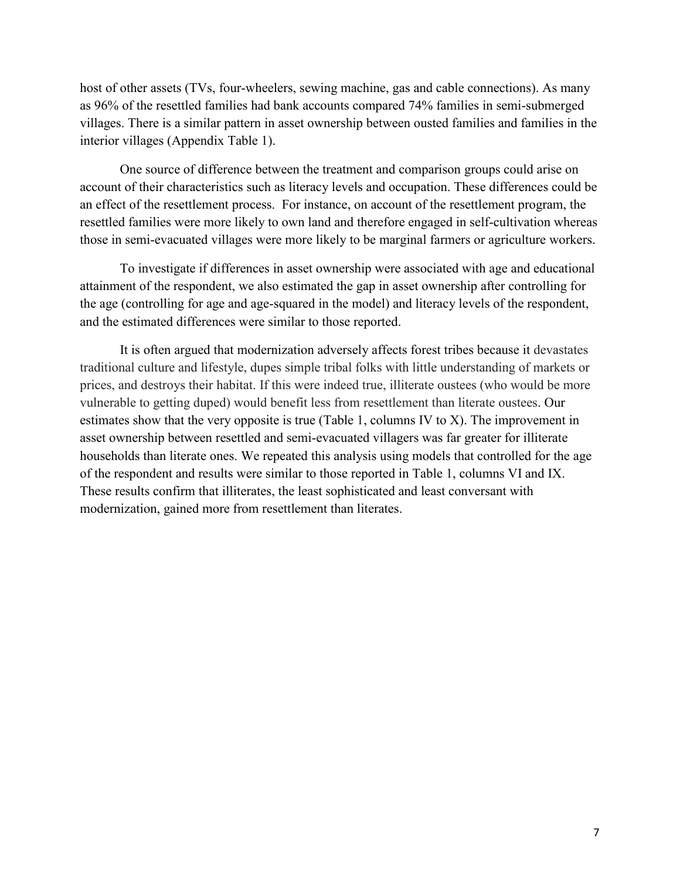host of other assets (TVs, four-wheelers, sewing machine, gas and cable connections). As many as 96% of the resettled families had bank accounts compared 74% families in semi-submerged villages. There is a similar pattern in asset ownership between ousted families and families in the interior villages (Appendix Table 1).

One source of difference between the treatment and comparison groups could arise on account of their characteristics such as literacy levels and occupation. These differences could be an effect of the resettlement process. For instance, on account of the resettlement program, the resettled families were more likely to own land and therefore engaged in self-cultivation whereas those in semi-evacuated villages were more likely to be marginal farmers or agriculture workers.

To investigate if differences in asset ownership were associated with age and educational attainment of the respondent, we also estimated the gap in asset ownership after controlling for the age (controlling for age and age-squared in the model) and literacy levels of the respondent, and the estimated differences were similar to those reported.

It is often argued that modernization adversely affects forest tribes because it devastates traditional culture and lifestyle, dupes simple tribal folks with little understanding of markets or prices, and destroys their habitat. If this were indeed true, illiterate oustees (who would be more vulnerable to getting duped) would benefit less from resettlement than literate oustees. Our estimates show that the very opposite is true (Table 1, columns IV to X). The improvement in asset ownership between resettled and semi-evacuated villagers was far greater for illiterate households than literate ones. We repeated this analysis using models that controlled for the age of the respondent and results were similar to those reported in Table 1, columns VI and IX. These results confirm that illiterates, the least sophisticated and least conversant with modernization, gained more from resettlement than literates.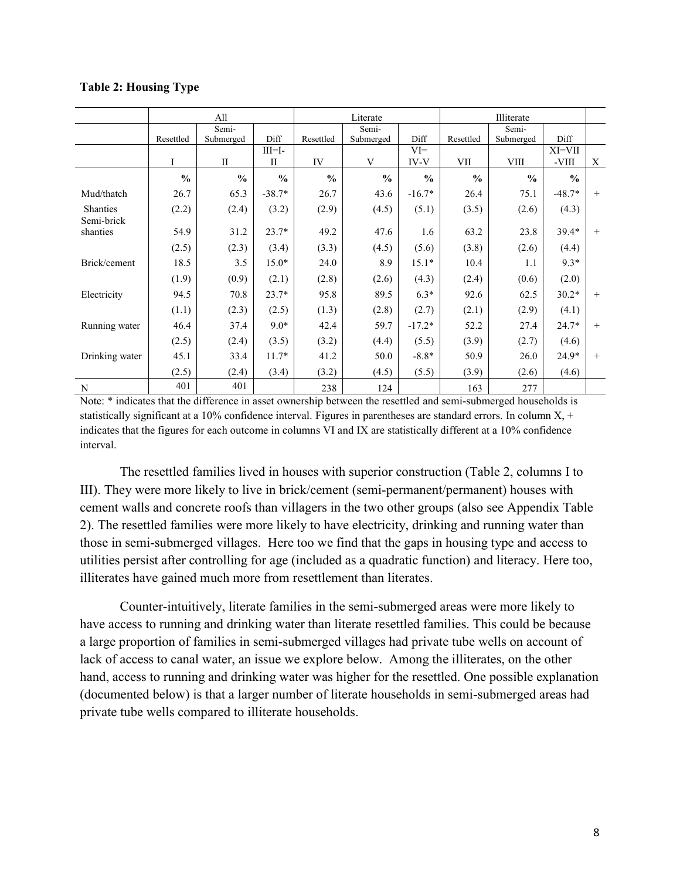#### **Table 2: Housing Type**

|                               |               | All                |                          |               | Literate           |                | Illiterate    |                    |                   |        |
|-------------------------------|---------------|--------------------|--------------------------|---------------|--------------------|----------------|---------------|--------------------|-------------------|--------|
|                               | Resettled     | Semi-<br>Submerged | Diff                     | Resettled     | Semi-<br>Submerged | Diff           | Resettled     | Semi-<br>Submerged | Diff              |        |
|                               | I             | $\mathbf{I}$       | $III=I-$<br>$\mathbf{I}$ | IV            | V                  | $VI =$<br>IV-V | VII           | <b>VIII</b>        | $XI=VII$<br>-VIII | X      |
|                               | $\frac{0}{0}$ | $\frac{0}{0}$      | $\frac{0}{0}$            | $\frac{0}{0}$ | $\frac{0}{0}$      | $\frac{0}{0}$  | $\frac{0}{0}$ | $\frac{0}{0}$      | $\frac{0}{0}$     |        |
| Mud/thatch                    | 26.7          | 65.3               | $-38.7*$                 | 26.7          | 43.6               | $-16.7*$       | 26.4          | 75.1               | $-48.7*$          | $^{+}$ |
| <b>Shanties</b><br>Semi-brick | (2.2)         | (2.4)              | (3.2)                    | (2.9)         | (4.5)              | (5.1)          | (3.5)         | (2.6)              | (4.3)             |        |
| shanties                      | 54.9          | 31.2               | $23.7*$                  | 49.2          | 47.6               | 1.6            | 63.2          | 23.8               | $39.4*$           | $+$    |
|                               | (2.5)         | (2.3)              | (3.4)                    | (3.3)         | (4.5)              | (5.6)          | (3.8)         | (2.6)              | (4.4)             |        |
| Brick/cement                  | 18.5          | 3.5                | $15.0*$                  | 24.0          | 8.9                | $15.1*$        | 10.4          | 1.1                | $9.3*$            |        |
|                               | (1.9)         | (0.9)              | (2.1)                    | (2.8)         | (2.6)              | (4.3)          | (2.4)         | (0.6)              | (2.0)             |        |
| Electricity                   | 94.5          | 70.8               | $23.7*$                  | 95.8          | 89.5               | $6.3*$         | 92.6          | 62.5               | $30.2*$           | $^{+}$ |
|                               | (1.1)         | (2.3)              | (2.5)                    | (1.3)         | (2.8)              | (2.7)          | (2.1)         | (2.9)              | (4.1)             |        |
| Running water                 | 46.4          | 37.4               | $9.0*$                   | 42.4          | 59.7               | $-17.2*$       | 52.2          | 27.4               | 24.7*             | $+$    |
|                               | (2.5)         | (2.4)              | (3.5)                    | (3.2)         | (4.4)              | (5.5)          | (3.9)         | (2.7)              | (4.6)             |        |
| Drinking water                | 45.1          | 33.4               | $11.7*$                  | 41.2          | 50.0               | $-8.8*$        | 50.9          | 26.0               | 24.9*             | $+$    |
|                               | (2.5)         | (2.4)              | (3.4)                    | (3.2)         | (4.5)              | (5.5)          | (3.9)         | (2.6)              | (4.6)             |        |
| N                             | 401           | 401                |                          | 238           | 124                |                | 163           | 277                |                   |        |

Note: \* indicates that the difference in asset ownership between the resettled and semi-submerged households is statistically significant at a 10% confidence interval. Figures in parentheses are standard errors. In column  $X$ , + indicates that the figures for each outcome in columns VI and IX are statistically different at a 10% confidence interval.

The resettled families lived in houses with superior construction (Table 2, columns I to III). They were more likely to live in brick/cement (semi-permanent/permanent) houses with cement walls and concrete roofs than villagers in the two other groups (also see Appendix Table 2). The resettled families were more likely to have electricity, drinking and running water than those in semi-submerged villages. Here too we find that the gaps in housing type and access to utilities persist after controlling for age (included as a quadratic function) and literacy. Here too, illiterates have gained much more from resettlement than literates.

Counter-intuitively, literate families in the semi-submerged areas were more likely to have access to running and drinking water than literate resettled families. This could be because a large proportion of families in semi-submerged villages had private tube wells on account of lack of access to canal water, an issue we explore below. Among the illiterates, on the other hand, access to running and drinking water was higher for the resettled. One possible explanation (documented below) is that a larger number of literate households in semi-submerged areas had private tube wells compared to illiterate households.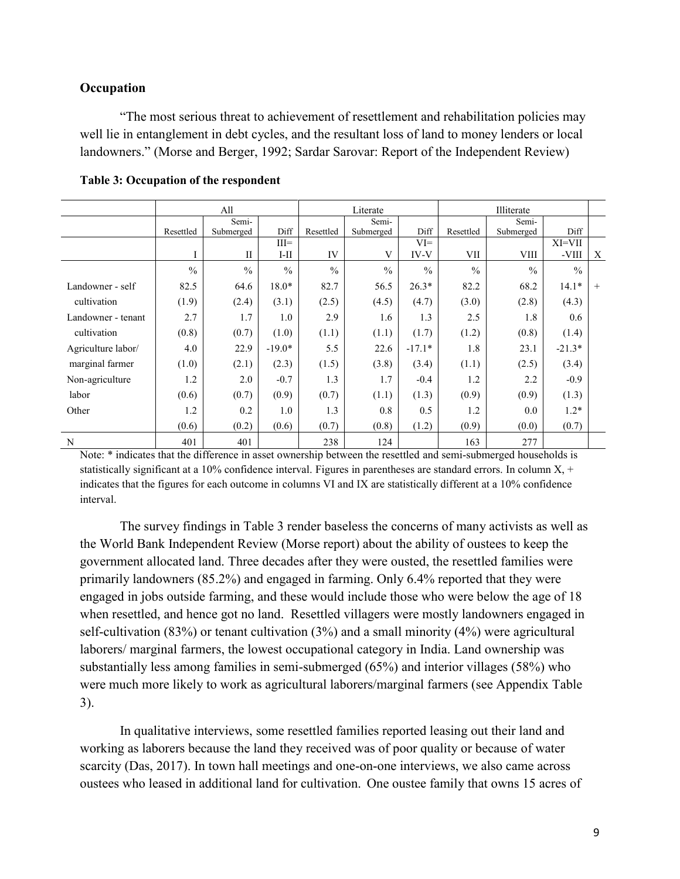## **Occupation**

"The most serious threat to achievement of resettlement and rehabilitation policies may well lie in entanglement in debt cycles, and the resultant loss of land to money lenders or local landowners." (Morse and Berger, 1992; Sardar Sarovar: Report of the Independent Review)

|                    |               | All           |               |               | Literate      |               |               | Illiterate    |               |                  |
|--------------------|---------------|---------------|---------------|---------------|---------------|---------------|---------------|---------------|---------------|------------------|
|                    |               | Semi-         |               |               | Semi-         |               |               | Semi-         |               |                  |
|                    | Resettled     | Submerged     | Diff          | Resettled     | Submerged     | Diff          | Resettled     | Submerged     | Diff          |                  |
|                    |               |               | $III =$       |               |               | $VI =$        |               |               | $XI=VII$      |                  |
|                    | 1             | $\mathbf{I}$  | $I-II$        | IV            | V             | IV-V          | VII           | <b>VIII</b>   | -VIII         | $\boldsymbol{X}$ |
|                    | $\frac{0}{0}$ | $\frac{0}{0}$ | $\frac{0}{0}$ | $\frac{0}{0}$ | $\frac{0}{0}$ | $\frac{0}{0}$ | $\frac{0}{0}$ | $\frac{0}{0}$ | $\frac{0}{0}$ |                  |
| Landowner - self   | 82.5          | 64.6          | $18.0*$       | 82.7          | 56.5          | $26.3*$       | 82.2          | 68.2          | $14.1*$       | $+$              |
| cultivation        | (1.9)         | (2.4)         | (3.1)         | (2.5)         | (4.5)         | (4.7)         | (3.0)         | (2.8)         | (4.3)         |                  |
| Landowner - tenant | 2.7           | 1.7           | 1.0           | 2.9           | 1.6           | 1.3           | 2.5           | 1.8           | 0.6           |                  |
| cultivation        | (0.8)         | (0.7)         | (1.0)         | (1.1)         | (1.1)         | (1.7)         | (1.2)         | (0.8)         | (1.4)         |                  |
| Agriculture labor/ | 4.0           | 22.9          | $-19.0*$      | 5.5           | 22.6          | $-17.1*$      | 1.8           | 23.1          | $-21.3*$      |                  |
| marginal farmer    | (1.0)         | (2.1)         | (2.3)         | (1.5)         | (3.8)         | (3.4)         | (1.1)         | (2.5)         | (3.4)         |                  |
| Non-agriculture    | 1.2           | 2.0           | $-0.7$        | 1.3           | 1.7           | $-0.4$        | 1.2           | 2.2           | $-0.9$        |                  |
| labor              | (0.6)         | (0.7)         | (0.9)         | (0.7)         | (1.1)         | (1.3)         | (0.9)         | (0.9)         | (1.3)         |                  |
| Other              | 1.2           | 0.2           | 1.0           | 1.3           | 0.8           | 0.5           | 1.2           | 0.0           | $1.2*$        |                  |
|                    | (0.6)         | (0.2)         | (0.6)         | (0.7)         | (0.8)         | (1.2)         | (0.9)         | (0.0)         | (0.7)         |                  |
| N                  | 401           | 401           |               | 238           | 124           |               | 163           | 277           |               |                  |

#### **Table 3: Occupation of the respondent**

Note: \* indicates that the difference in asset ownership between the resettled and semi-submerged households is statistically significant at a 10% confidence interval. Figures in parentheses are standard errors. In column  $X$ , + indicates that the figures for each outcome in columns VI and IX are statistically different at a 10% confidence interval.

The survey findings in Table 3 render baseless the concerns of many activists as well as the World Bank Independent Review (Morse report) about the ability of oustees to keep the government allocated land. Three decades after they were ousted, the resettled families were primarily landowners (85.2%) and engaged in farming. Only 6.4% reported that they were engaged in jobs outside farming, and these would include those who were below the age of 18 when resettled, and hence got no land. Resettled villagers were mostly landowners engaged in self-cultivation (83%) or tenant cultivation (3%) and a small minority (4%) were agricultural laborers/ marginal farmers, the lowest occupational category in India. Land ownership was substantially less among families in semi-submerged (65%) and interior villages (58%) who were much more likely to work as agricultural laborers/marginal farmers (see Appendix Table 3).

In qualitative interviews, some resettled families reported leasing out their land and working as laborers because the land they received was of poor quality or because of water scarcity (Das, 2017). In town hall meetings and one-on-one interviews, we also came across oustees who leased in additional land for cultivation. One oustee family that owns 15 acres of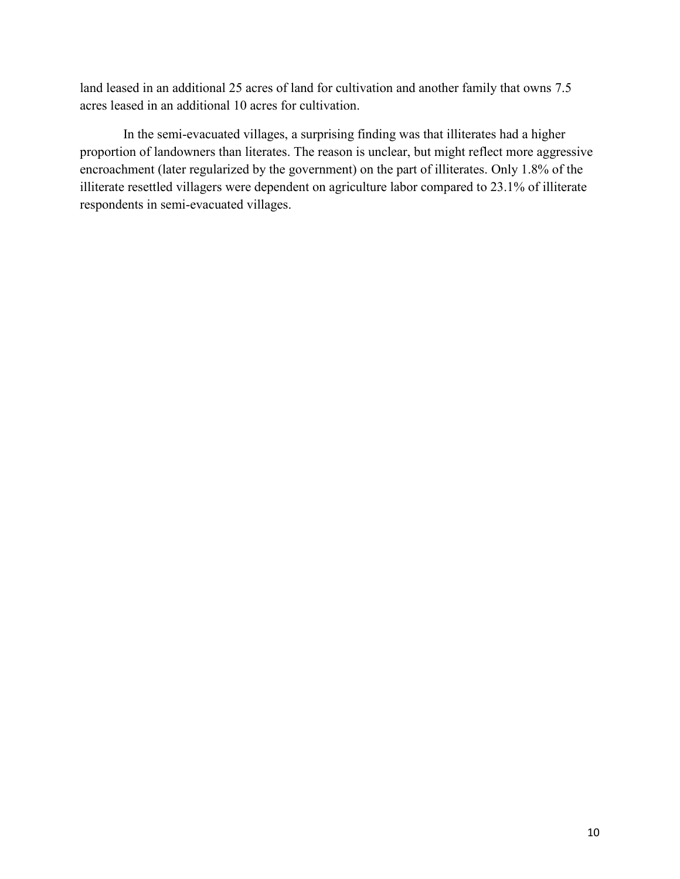land leased in an additional 25 acres of land for cultivation and another family that owns 7.5 acres leased in an additional 10 acres for cultivation.

In the semi-evacuated villages, a surprising finding was that illiterates had a higher proportion of landowners than literates. The reason is unclear, but might reflect more aggressive encroachment (later regularized by the government) on the part of illiterates. Only 1.8% of the illiterate resettled villagers were dependent on agriculture labor compared to 23.1% of illiterate respondents in semi-evacuated villages.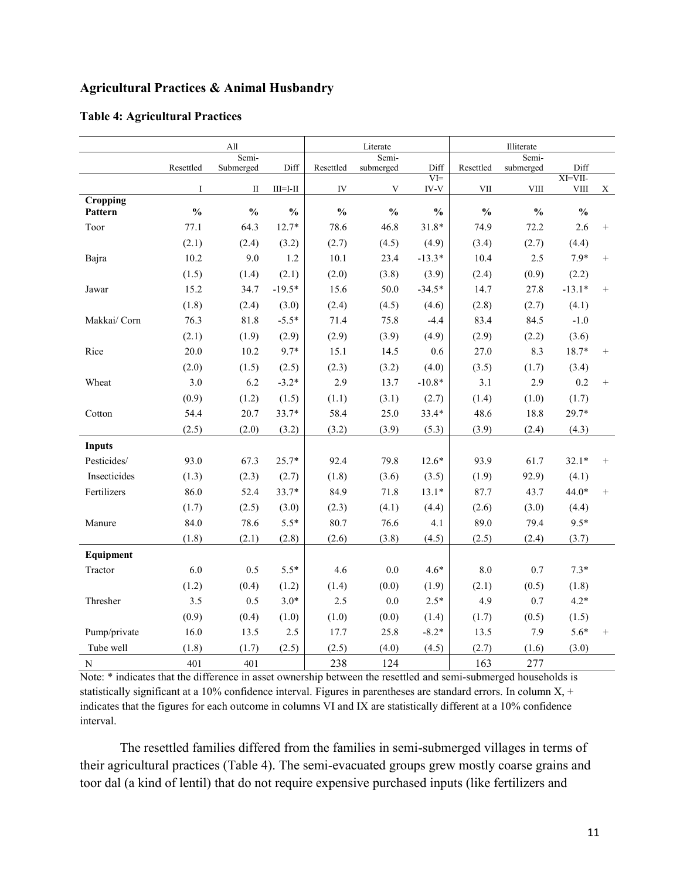## **Agricultural Practices & Animal Husbandry**

|               |               | All                |                |               | Literate           |               |               | Illiterate         |               |        |
|---------------|---------------|--------------------|----------------|---------------|--------------------|---------------|---------------|--------------------|---------------|--------|
|               | Resettled     | Semi-<br>Submerged | Diff           | Resettled     | Semi-<br>submerged | Diff          | Resettled     | Semi-<br>submerged | Diff          |        |
|               |               |                    |                |               |                    | $VI =$        |               |                    | XI=VII-       |        |
|               | $\mathbf I$   | $\mathbf{I}$       | $III = I - II$ | IV            | V                  | IV-V          | VII           | <b>VIII</b>        | <b>VIII</b>   | X      |
| Cropping      | $\frac{0}{0}$ | $\frac{0}{0}$      | $\frac{0}{0}$  | $\frac{0}{0}$ | $\frac{0}{0}$      | $\frac{0}{0}$ | $\frac{0}{0}$ | $\frac{0}{0}$      | $\frac{0}{0}$ |        |
| Pattern       |               |                    |                |               |                    |               |               |                    |               |        |
| Toor          | 77.1          | 64.3               | $12.7*$        | 78.6          | 46.8               | $31.8*$       | 74.9          | 72.2               | 2.6           | $^{+}$ |
|               | (2.1)         | (2.4)              | (3.2)          | (2.7)         | (4.5)              | (4.9)         | (3.4)         | (2.7)              | (4.4)         |        |
| Bajra         | 10.2          | 9.0                | 1.2            | 10.1          | 23.4               | $-13.3*$      | 10.4          | 2.5                | $7.9*$        | $^{+}$ |
|               | (1.5)         | (1.4)              | (2.1)          | (2.0)         | (3.8)              | (3.9)         | (2.4)         | (0.9)              | (2.2)         |        |
| Jawar         | 15.2          | 34.7               | $-19.5*$       | 15.6          | 50.0               | $-34.5*$      | 14.7          | 27.8               | $-13.1*$      | $^{+}$ |
|               | (1.8)         | (2.4)              | (3.0)          | (2.4)         | (4.5)              | (4.6)         | (2.8)         | (2.7)              | (4.1)         |        |
| Makkai/ Corn  | 76.3          | 81.8               | $-5.5*$        | 71.4          | 75.8               | $-4.4$        | 83.4          | 84.5               | $-1.0$        |        |
|               | (2.1)         | (1.9)              | (2.9)          | (2.9)         | (3.9)              | (4.9)         | (2.9)         | (2.2)              | (3.6)         |        |
| Rice          | 20.0          | 10.2               | $9.7*$         | 15.1          | 14.5               | 0.6           | 27.0          | 8.3                | $18.7*$       | $^{+}$ |
|               | (2.0)         | (1.5)              | (2.5)          | (2.3)         | (3.2)              | (4.0)         | (3.5)         | (1.7)              | (3.4)         |        |
| Wheat         | 3.0           | 6.2                | $-3.2*$        | 2.9           | 13.7               | $-10.8*$      | 3.1           | 2.9                | 0.2           | $^{+}$ |
|               | (0.9)         | (1.2)              | (1.5)          | (1.1)         | (3.1)              | (2.7)         | (1.4)         | (1.0)              | (1.7)         |        |
| Cotton        | 54.4          | 20.7               | 33.7*          | 58.4          | 25.0               | $33.4*$       | 48.6          | 18.8               | 29.7*         |        |
|               | (2.5)         | (2.0)              | (3.2)          | (3.2)         | (3.9)              | (5.3)         | (3.9)         | (2.4)              | (4.3)         |        |
| <b>Inputs</b> |               |                    |                |               |                    |               |               |                    |               |        |
| Pesticides/   | 93.0          | 67.3               | $25.7*$        | 92.4          | 79.8               | $12.6*$       | 93.9          | 61.7               | $32.1*$       | $^{+}$ |
| Insecticides  | (1.3)         | (2.3)              | (2.7)          | (1.8)         | (3.6)              | (3.5)         | (1.9)         | 92.9)              | (4.1)         |        |
| Fertilizers   | 86.0          | 52.4               | $33.7*$        | 84.9          | 71.8               | $13.1*$       | 87.7          | 43.7               | $44.0*$       | $^{+}$ |
|               | (1.7)         | (2.5)              | (3.0)          | (2.3)         | (4.1)              | (4.4)         | (2.6)         | (3.0)              | (4.4)         |        |
| Manure        | 84.0          | 78.6               | $5.5*$         | 80.7          | 76.6               | 4.1           | 89.0          | 79.4               | $9.5*$        |        |
|               | (1.8)         | (2.1)              | (2.8)          | (2.6)         | (3.8)              | (4.5)         | (2.5)         | (2.4)              | (3.7)         |        |
| Equipment     |               |                    |                |               |                    |               |               |                    |               |        |
| Tractor       | 6.0           | 0.5                | $5.5*$         | 4.6           | 0.0                | $4.6*$        | 8.0           | 0.7                | $7.3*$        |        |
|               | (1.2)         | (0.4)              | (1.2)          | (1.4)         | (0.0)              | (1.9)         | (2.1)         | (0.5)              | (1.8)         |        |
| Thresher      | 3.5           | 0.5                | $3.0*$         | 2.5           | 0.0                | $2.5*$        | 4.9           | 0.7                | $4.2*$        |        |
|               | (0.9)         | (0.4)              | (1.0)          | (1.0)         | (0.0)              | (1.4)         | (1.7)         | (0.5)              | (1.5)         |        |
| Pump/private  | 16.0          | 13.5               | 2.5            | 17.7          | 25.8               | $-8.2*$       | 13.5          | 7.9                | $5.6*$        | $^{+}$ |
| Tube well     | (1.8)         | (1.7)              | (2.5)          | (2.5)         | (4.0)              | (4.5)         | (2.7)         | (1.6)              | (3.0)         |        |
| ${\bf N}$     | 401           | 401                |                | 238           | 124                |               | 163           | 277                |               |        |

#### **Table 4: Agricultural Practices**

Note: \* indicates that the difference in asset ownership between the resettled and semi-submerged households is statistically significant at a 10% confidence interval. Figures in parentheses are standard errors. In column  $X$ , + indicates that the figures for each outcome in columns VI and IX are statistically different at a 10% confidence interval.

The resettled families differed from the families in semi-submerged villages in terms of their agricultural practices (Table 4). The semi-evacuated groups grew mostly coarse grains and toor dal (a kind of lentil) that do not require expensive purchased inputs (like fertilizers and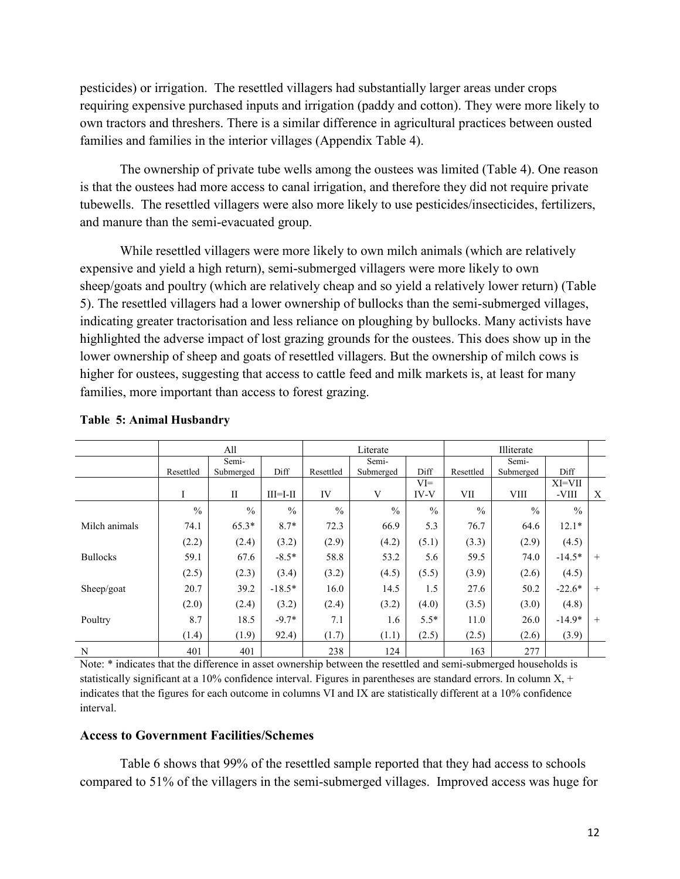pesticides) or irrigation. The resettled villagers had substantially larger areas under crops requiring expensive purchased inputs and irrigation (paddy and cotton). They were more likely to own tractors and threshers. There is a similar difference in agricultural practices between ousted families and families in the interior villages (Appendix Table 4).

The ownership of private tube wells among the oustees was limited (Table 4). One reason is that the oustees had more access to canal irrigation, and therefore they did not require private tubewells. The resettled villagers were also more likely to use pesticides/insecticides, fertilizers, and manure than the semi-evacuated group.

While resettled villagers were more likely to own milch animals (which are relatively expensive and yield a high return), semi-submerged villagers were more likely to own sheep/goats and poultry (which are relatively cheap and so yield a relatively lower return) (Table 5). The resettled villagers had a lower ownership of bullocks than the semi-submerged villages, indicating greater tractorisation and less reliance on ploughing by bullocks. Many activists have highlighted the adverse impact of lost grazing grounds for the oustees. This does show up in the lower ownership of sheep and goats of resettled villagers. But the ownership of milch cows is higher for oustees, suggesting that access to cattle feed and milk markets is, at least for many families, more important than access to forest grazing.

|                 | All           |               |                | Literate      |               |               | Illiterate    |               |               |        |
|-----------------|---------------|---------------|----------------|---------------|---------------|---------------|---------------|---------------|---------------|--------|
|                 |               | Semi-         |                |               | Semi-         |               |               | Semi-         |               |        |
|                 | Resettled     | Submerged     | Diff           | Resettled     | Submerged     | Diff          | Resettled     | Submerged     | Diff          |        |
|                 |               |               |                |               |               | $VI =$        |               |               | XI=VII        |        |
|                 | Ι             | $\mathbf{I}$  | $III = I - II$ | IV            | V             | <b>IV-V</b>   | VII           | <b>VIII</b>   | -VIII         | X      |
|                 | $\frac{0}{0}$ | $\frac{0}{0}$ | $\frac{0}{0}$  | $\frac{0}{0}$ | $\frac{0}{0}$ | $\frac{0}{0}$ | $\frac{0}{0}$ | $\frac{0}{0}$ | $\frac{0}{0}$ |        |
| Milch animals   | 74.1          | $65.3*$       | $8.7*$         | 72.3          | 66.9          | 5.3           | 76.7          | 64.6          | $12.1*$       |        |
|                 | (2.2)         | (2.4)         | (3.2)          | (2.9)         | (4.2)         | (5.1)         | (3.3)         | (2.9)         | (4.5)         |        |
| <b>Bullocks</b> | 59.1          | 67.6          | $-8.5*$        | 58.8          | 53.2          | 5.6           | 59.5          | 74.0          | $-14.5*$      | $+$    |
|                 | (2.5)         | (2.3)         | (3.4)          | (3.2)         | (4.5)         | (5.5)         | (3.9)         | (2.6)         | (4.5)         |        |
| Sheep/goat      | 20.7          | 39.2          | $-18.5*$       | 16.0          | 14.5          | 1.5           | 27.6          | 50.2          | $-22.6*$      | $+$    |
|                 | (2.0)         | (2.4)         | (3.2)          | (2.4)         | (3.2)         | (4.0)         | (3.5)         | (3.0)         | (4.8)         |        |
| Poultry         | 8.7           | 18.5          | $-9.7*$        | 7.1           | 1.6           | $5.5*$        | 11.0          | 26.0          | $-14.9*$      | $^{+}$ |
|                 | (1.4)         | (1.9)         | 92.4)          | (1.7)         | (1.1)         | (2.5)         | (2.5)         | (2.6)         | (3.9)         |        |
| N               | 401           | 401           |                | 238           | 124           |               | 163           | 277           |               |        |

## **Table 5: Animal Husbandry**

Note: \* indicates that the difference in asset ownership between the resettled and semi-submerged households is statistically significant at a 10% confidence interval. Figures in parentheses are standard errors. In column  $X$ , + indicates that the figures for each outcome in columns VI and IX are statistically different at a 10% confidence interval.

#### **Access to Government Facilities/Schemes**

Table 6 shows that 99% of the resettled sample reported that they had access to schools compared to 51% of the villagers in the semi-submerged villages. Improved access was huge for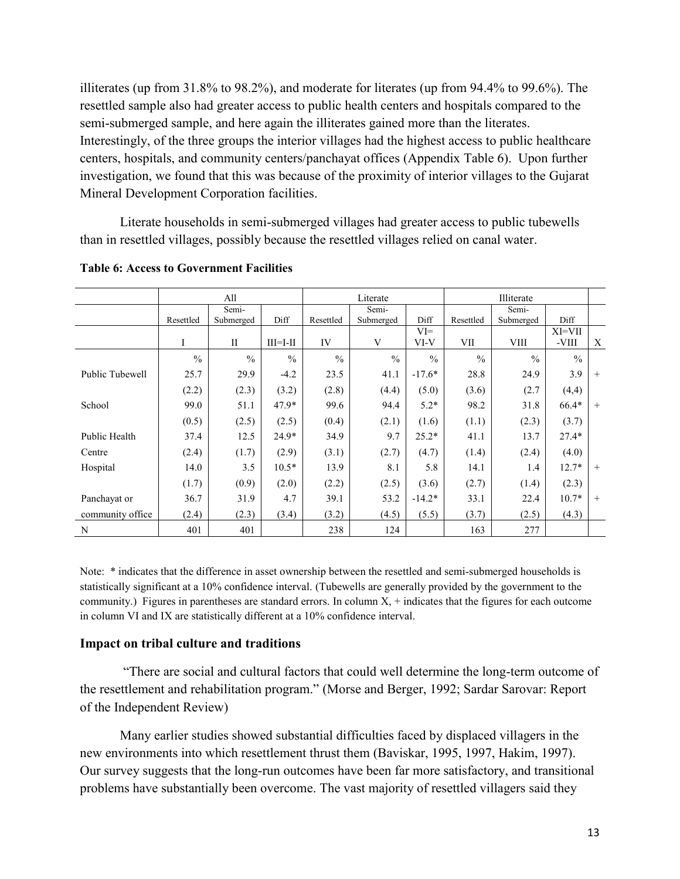illiterates (up from 31.8% to 98.2%), and moderate for literates (up from 94.4% to 99.6%). The resettled sample also had greater access to public health centers and hospitals compared to the semi-submerged sample, and here again the illiterates gained more than the literates. Interestingly, of the three groups the interior villages had the highest access to public healthcare centers, hospitals, and community centers/panchayat offices (Appendix Table 6). Upon further investigation, we found that this was because of the proximity of interior villages to the Gujarat Mineral Development Corporation facilities.

Literate households in semi-submerged villages had greater access to public tubewells than in resettled villages, possibly because the resettled villages relied on canal water.

|                  | All           |               |               | Literate      |               |               | Illiterate    |               |               |     |
|------------------|---------------|---------------|---------------|---------------|---------------|---------------|---------------|---------------|---------------|-----|
|                  |               | Semi-         |               |               | Semi-         |               |               | Semi-         |               |     |
|                  | Resettled     | Submerged     | Diff          | Resettled     | Submerged     | Diff          | Resettled     | Submerged     | Diff          |     |
|                  |               |               |               |               |               | $VI =$        |               |               | XI=VII        |     |
|                  | I             | $\mathbf{I}$  | $III=I-II$    | IV            | V             | VI-V          | VII           | <b>VIII</b>   | -VIII         | X   |
|                  | $\frac{0}{0}$ | $\frac{0}{0}$ | $\frac{0}{0}$ | $\frac{0}{0}$ | $\frac{0}{0}$ | $\frac{0}{0}$ | $\frac{0}{0}$ | $\frac{0}{0}$ | $\frac{0}{0}$ |     |
| Public Tubewell  | 25.7          | 29.9          | $-4.2$        | 23.5          | 41.1          | $-17.6*$      | 28.8          | 24.9          | 3.9           | $+$ |
|                  | (2.2)         | (2.3)         | (3.2)         | (2.8)         | (4.4)         | (5.0)         | (3.6)         | (2.7)         | (4,4)         |     |
| School           | 99.0          | 51.1          | $47.9*$       | 99.6          | 94.4          | $5.2*$        | 98.2          | 31.8          | 66.4*         | $+$ |
|                  | (0.5)         | (2.5)         | (2.5)         | (0.4)         | (2.1)         | (1.6)         | (1.1)         | (2.3)         | (3.7)         |     |
| Public Health    | 37.4          | 12.5          | $24.9*$       | 34.9          | 9.7           | $25.2*$       | 41.1          | 13.7          | $27.4*$       |     |
| Centre           | (2.4)         | (1.7)         | (2.9)         | (3.1)         | (2.7)         | (4.7)         | (1.4)         | (2.4)         | (4.0)         |     |
| Hospital         | 14.0          | 3.5           | $10.5*$       | 13.9          | 8.1           | 5.8           | 14.1          | 1.4           | $12.7*$       | $+$ |
|                  | (1.7)         | (0.9)         | (2.0)         | (2.2)         | (2.5)         | (3.6)         | (2.7)         | (1.4)         | (2.3)         |     |
| Panchayat or     | 36.7          | 31.9          | 4.7           | 39.1          | 53.2          | $-14.2*$      | 33.1          | 22.4          | $10.7*$       | $+$ |
| community office | (2.4)         | (2.3)         | (3.4)         | (3.2)         | (4.5)         | (5.5)         | (3.7)         | (2.5)         | (4.3)         |     |
| N                | 401           | 401           |               | 238           | 124           |               | 163           | 277           |               |     |

#### **Table 6: Access to Government Facilities**

Note: \* indicates that the difference in asset ownership between the resettled and semi-submerged households is statistically significant at a 10% confidence interval. (Tubewells are generally provided by the government to the community.) Figures in parentheses are standard errors. In column  $X$ ,  $+$  indicates that the figures for each outcome in column VI and IX are statistically different at a 10% confidence interval.

#### **Impact on tribal culture and traditions**

"There are social and cultural factors that could well determine the long-term outcome of the resettlement and rehabilitation program." (Morse and Berger, 1992; Sardar Sarovar: Report of the Independent Review)

Many earlier studies showed substantial difficulties faced by displaced villagers in the new environments into which resettlement thrust them (Baviskar, 1995, 1997, Hakim, 1997). Our survey suggests that the long-run outcomes have been far more satisfactory, and transitional problems have substantially been overcome. The vast majority of resettled villagers said they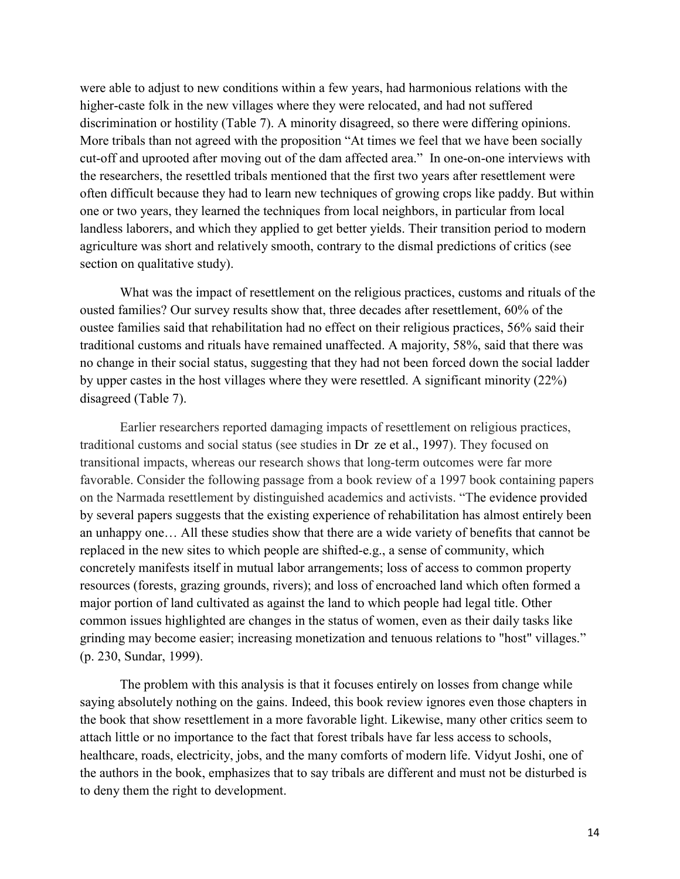were able to adjust to new conditions within a few years, had harmonious relations with the higher-caste folk in the new villages where they were relocated, and had not suffered discrimination or hostility (Table 7). A minority disagreed, so there were differing opinions. More tribals than not agreed with the proposition "At times we feel that we have been socially cut-off and uprooted after moving out of the dam affected area." In one-on-one interviews with the researchers, the resettled tribals mentioned that the first two years after resettlement were often difficult because they had to learn new techniques of growing crops like paddy. But within one or two years, they learned the techniques from local neighbors, in particular from local landless laborers, and which they applied to get better yields. Their transition period to modern agriculture was short and relatively smooth, contrary to the dismal predictions of critics (see section on qualitative study).

What was the impact of resettlement on the religious practices, customs and rituals of the ousted families? Our survey results show that, three decades after resettlement, 60% of the oustee families said that rehabilitation had no effect on their religious practices, 56% said their traditional customs and rituals have remained unaffected. A majority, 58%, said that there was no change in their social status, suggesting that they had not been forced down the social ladder by upper castes in the host villages where they were resettled. A significant minority (22%) disagreed (Table 7).

Earlier researchers reported damaging impacts of resettlement on religious practices, traditional customs and social status (see studies in Dr ze et al., 1997). They focused on transitional impacts, whereas our research shows that long-term outcomes were far more favorable. Consider the following passage from a book review of a 1997 book containing papers on the Narmada resettlement by distinguished academics and activists. "The evidence provided by several papers suggests that the existing experience of rehabilitation has almost entirely been an unhappy one… All these studies show that there are a wide variety of benefits that cannot be replaced in the new sites to which people are shifted-e.g., a sense of community, which concretely manifests itself in mutual labor arrangements; loss of access to common property resources (forests, grazing grounds, rivers); and loss of encroached land which often formed a major portion of land cultivated as against the land to which people had legal title. Other common issues highlighted are changes in the status of women, even as their daily tasks like grinding may become easier; increasing monetization and tenuous relations to "host" villages." (p. 230, Sundar, 1999).

The problem with this analysis is that it focuses entirely on losses from change while saying absolutely nothing on the gains. Indeed, this book review ignores even those chapters in the book that show resettlement in a more favorable light. Likewise, many other critics seem to attach little or no importance to the fact that forest tribals have far less access to schools, healthcare, roads, electricity, jobs, and the many comforts of modern life. Vidyut Joshi, one of the authors in the book, emphasizes that to say tribals are different and must not be disturbed is to deny them the right to development.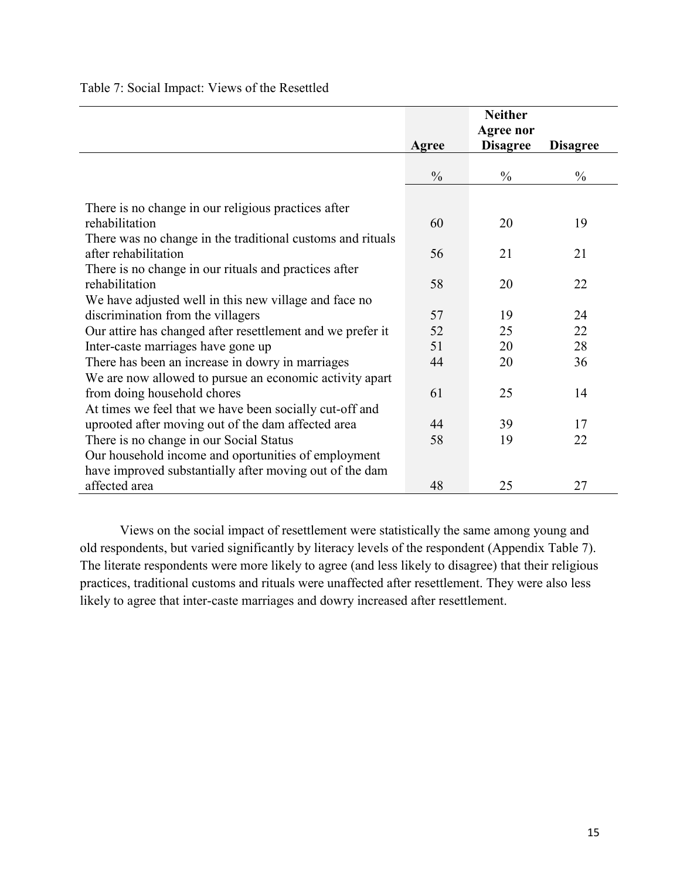|                                                            |               | <b>Neither</b>   |                 |
|------------------------------------------------------------|---------------|------------------|-----------------|
|                                                            |               | <b>Agree nor</b> |                 |
|                                                            | Agree         | <b>Disagree</b>  | <b>Disagree</b> |
|                                                            |               |                  |                 |
|                                                            | $\frac{0}{0}$ | $\frac{0}{0}$    | $\frac{0}{0}$   |
| There is no change in our religious practices after        |               |                  |                 |
| rehabilitation                                             | 60            | 20               | 19              |
| There was no change in the traditional customs and rituals |               |                  |                 |
| after rehabilitation                                       | 56            | 21               | 21              |
| There is no change in our rituals and practices after      |               |                  |                 |
| rehabilitation                                             | 58            | 20               | 22              |
| We have adjusted well in this new village and face no      |               |                  |                 |
| discrimination from the villagers                          | 57            | 19               | 24              |
| Our attire has changed after resettlement and we prefer it | 52            | 25               | 22              |
| Inter-caste marriages have gone up                         | 51            | 20               | 28              |
| There has been an increase in dowry in marriages           | 44            | 20               | 36              |
| We are now allowed to pursue an economic activity apart    |               |                  |                 |
| from doing household chores                                | 61            | 25               | 14              |
| At times we feel that we have been socially cut-off and    |               |                  |                 |
| uprooted after moving out of the dam affected area         | 44            | 39               | 17              |
| There is no change in our Social Status                    | 58            | 19               | 22              |
| Our household income and oportunities of employment        |               |                  |                 |
| have improved substantially after moving out of the dam    |               |                  |                 |
| affected area                                              | 48            | 25               | 27              |

## Table 7: Social Impact: Views of the Resettled

Views on the social impact of resettlement were statistically the same among young and old respondents, but varied significantly by literacy levels of the respondent (Appendix Table 7). The literate respondents were more likely to agree (and less likely to disagree) that their religious practices, traditional customs and rituals were unaffected after resettlement. They were also less likely to agree that inter-caste marriages and dowry increased after resettlement.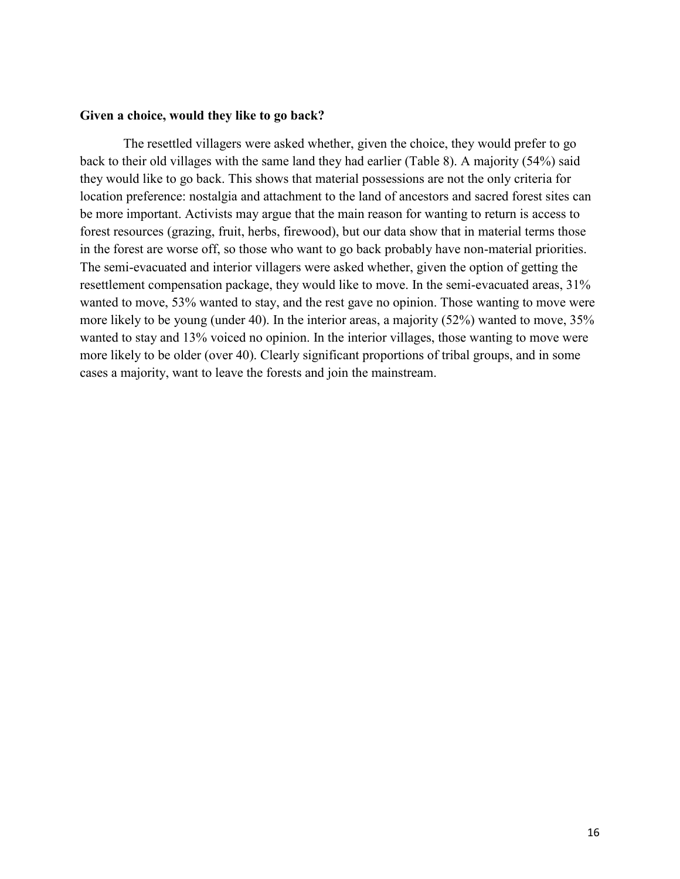#### **Given a choice, would they like to go back?**

The resettled villagers were asked whether, given the choice, they would prefer to go back to their old villages with the same land they had earlier (Table 8). A majority (54%) said they would like to go back. This shows that material possessions are not the only criteria for location preference: nostalgia and attachment to the land of ancestors and sacred forest sites can be more important. Activists may argue that the main reason for wanting to return is access to forest resources (grazing, fruit, herbs, firewood), but our data show that in material terms those in the forest are worse off, so those who want to go back probably have non-material priorities. The semi-evacuated and interior villagers were asked whether, given the option of getting the resettlement compensation package, they would like to move. In the semi-evacuated areas, 31% wanted to move, 53% wanted to stay, and the rest gave no opinion. Those wanting to move were more likely to be young (under 40). In the interior areas, a majority (52%) wanted to move, 35% wanted to stay and 13% voiced no opinion. In the interior villages, those wanting to move were more likely to be older (over 40). Clearly significant proportions of tribal groups, and in some cases a majority, want to leave the forests and join the mainstream.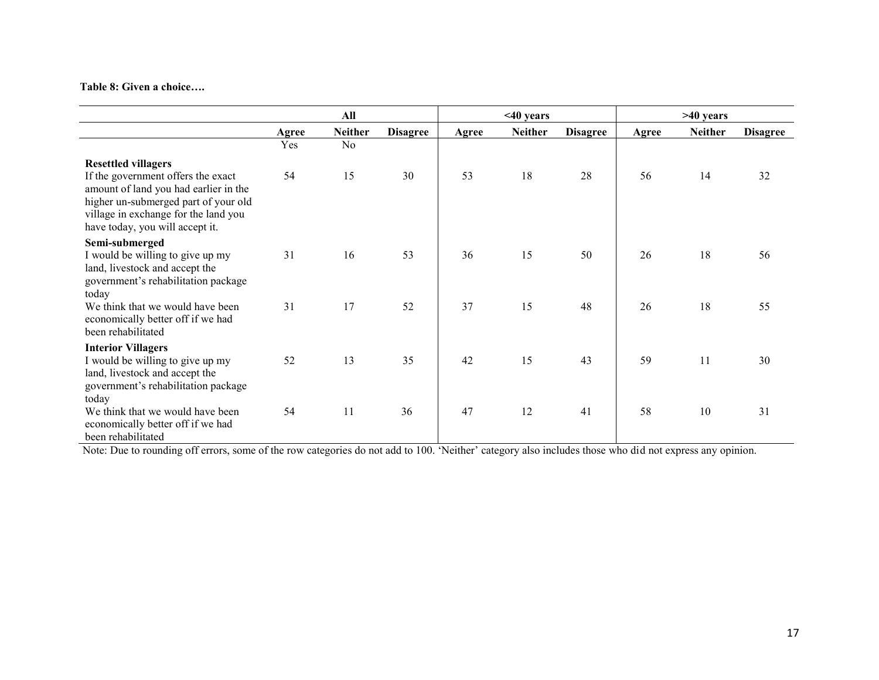#### **Table 8: Given a choice….**

|                                                                                                                                                                                                                              |       | All            |                 |       | $<$ 40 years   |                 |       | $>40$ years    |                 |
|------------------------------------------------------------------------------------------------------------------------------------------------------------------------------------------------------------------------------|-------|----------------|-----------------|-------|----------------|-----------------|-------|----------------|-----------------|
|                                                                                                                                                                                                                              | Agree | <b>Neither</b> | <b>Disagree</b> | Agree | <b>Neither</b> | <b>Disagree</b> | Agree | <b>Neither</b> | <b>Disagree</b> |
|                                                                                                                                                                                                                              | Yes   | No             |                 |       |                |                 |       |                |                 |
| <b>Resettled villagers</b><br>If the government offers the exact<br>amount of land you had earlier in the<br>higher un-submerged part of your old<br>village in exchange for the land you<br>have today, you will accept it. | 54    | 15             | 30              | 53    | 18             | 28              | 56    | 14             | 32              |
| Semi-submerged<br>I would be willing to give up my<br>land, livestock and accept the<br>government's rehabilitation package<br>today                                                                                         | 31    | 16             | 53              | 36    | 15             | 50              | 26    | 18             | 56              |
| We think that we would have been<br>economically better off if we had<br>been rehabilitated                                                                                                                                  | 31    | 17             | 52              | 37    | 15             | 48              | 26    | 18             | 55              |
| <b>Interior Villagers</b><br>I would be willing to give up my<br>land, livestock and accept the<br>government's rehabilitation package<br>today                                                                              | 52    | 13             | 35              | 42    | 15             | 43              | 59    | 11             | 30              |
| We think that we would have been<br>economically better off if we had<br>been rehabilitated                                                                                                                                  | 54    | 11             | 36              | 47    | 12             | 41              | 58    | 10             | 31              |

Note: Due to rounding off errors, some of the row categories do not add to 100. 'Neither' category also includes those who did not express any opinion.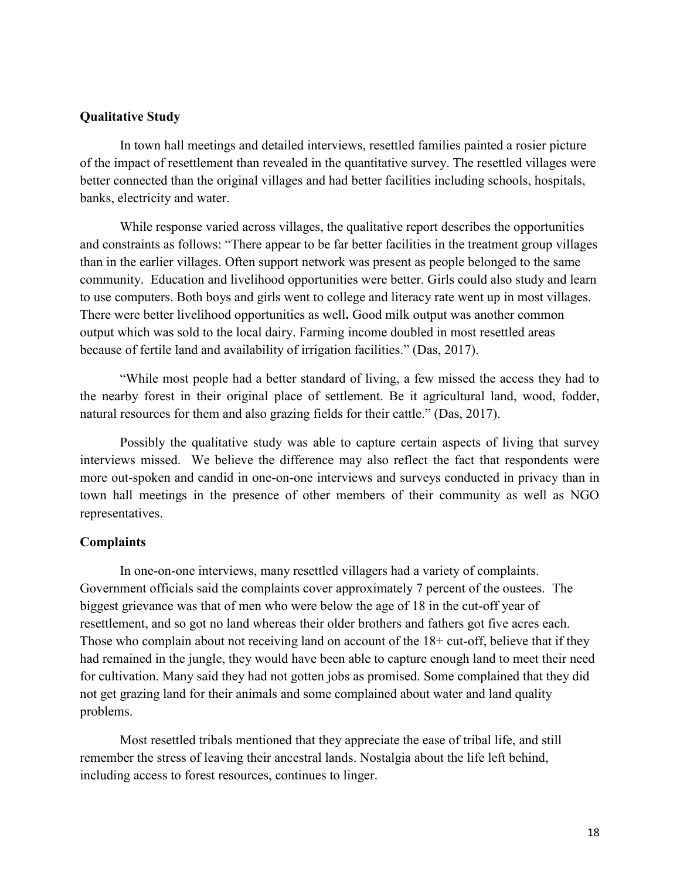### **Qualitative Study**

In town hall meetings and detailed interviews, resettled families painted a rosier picture of the impact of resettlement than revealed in the quantitative survey. The resettled villages were better connected than the original villages and had better facilities including schools, hospitals, banks, electricity and water.

While response varied across villages, the qualitative report describes the opportunities and constraints as follows: "There appear to be far better facilities in the treatment group villages than in the earlier villages. Often support network was present as people belonged to the same community. Education and livelihood opportunities were better. Girls could also study and learn to use computers. Both boys and girls went to college and literacy rate went up in most villages. There were better livelihood opportunities as well**.** Good milk output was another common output which was sold to the local dairy. Farming income doubled in most resettled areas because of fertile land and availability of irrigation facilities." (Das, 2017).

"While most people had a better standard of living, a few missed the access they had to the nearby forest in their original place of settlement. Be it agricultural land, wood, fodder, natural resources for them and also grazing fields for their cattle." (Das, 2017).

Possibly the qualitative study was able to capture certain aspects of living that survey interviews missed. We believe the difference may also reflect the fact that respondents were more out-spoken and candid in one-on-one interviews and surveys conducted in privacy than in town hall meetings in the presence of other members of their community as well as NGO representatives.

#### **Complaints**

In one-on-one interviews, many resettled villagers had a variety of complaints. Government officials said the complaints cover approximately 7 percent of the oustees. The biggest grievance was that of men who were below the age of 18 in the cut-off year of resettlement, and so got no land whereas their older brothers and fathers got five acres each. Those who complain about not receiving land on account of the 18+ cut-off, believe that if they had remained in the jungle, they would have been able to capture enough land to meet their need for cultivation. Many said they had not gotten jobs as promised. Some complained that they did not get grazing land for their animals and some complained about water and land quality problems.

Most resettled tribals mentioned that they appreciate the ease of tribal life, and still remember the stress of leaving their ancestral lands. Nostalgia about the life left behind, including access to forest resources, continues to linger.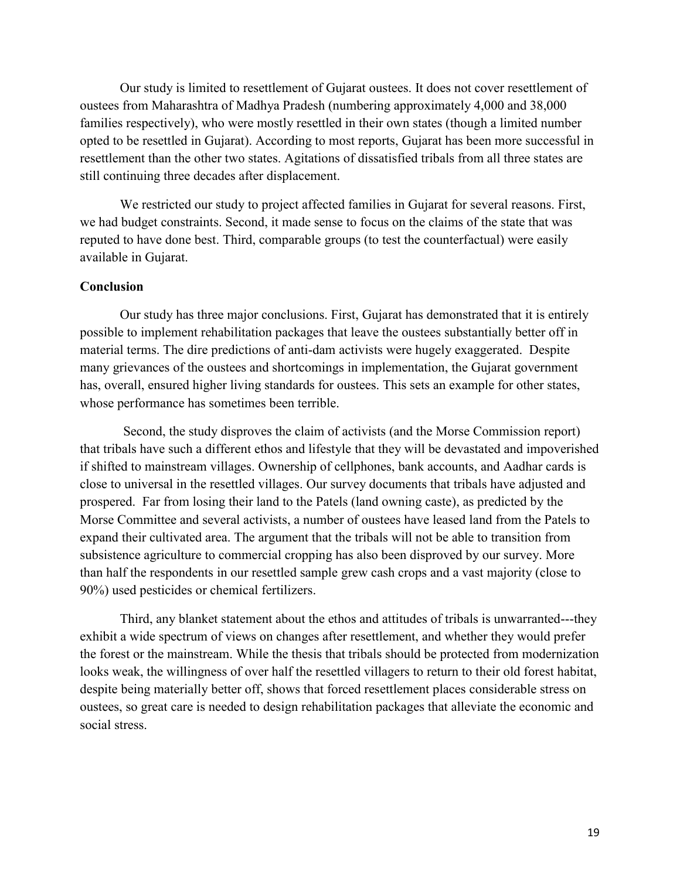Our study is limited to resettlement of Gujarat oustees. It does not cover resettlement of oustees from Maharashtra of Madhya Pradesh (numbering approximately 4,000 and 38,000 families respectively), who were mostly resettled in their own states (though a limited number opted to be resettled in Gujarat). According to most reports, Gujarat has been more successful in resettlement than the other two states. Agitations of dissatisfied tribals from all three states are still continuing three decades after displacement.

We restricted our study to project affected families in Gujarat for several reasons. First, we had budget constraints. Second, it made sense to focus on the claims of the state that was reputed to have done best. Third, comparable groups (to test the counterfactual) were easily available in Gujarat.

#### **Conclusion**

Our study has three major conclusions. First, Gujarat has demonstrated that it is entirely possible to implement rehabilitation packages that leave the oustees substantially better off in material terms. The dire predictions of anti-dam activists were hugely exaggerated. Despite many grievances of the oustees and shortcomings in implementation, the Gujarat government has, overall, ensured higher living standards for oustees. This sets an example for other states, whose performance has sometimes been terrible.

Second, the study disproves the claim of activists (and the Morse Commission report) that tribals have such a different ethos and lifestyle that they will be devastated and impoverished if shifted to mainstream villages. Ownership of cellphones, bank accounts, and Aadhar cards is close to universal in the resettled villages. Our survey documents that tribals have adjusted and prospered. Far from losing their land to the Patels (land owning caste), as predicted by the Morse Committee and several activists, a number of oustees have leased land from the Patels to expand their cultivated area. The argument that the tribals will not be able to transition from subsistence agriculture to commercial cropping has also been disproved by our survey. More than half the respondents in our resettled sample grew cash crops and a vast majority (close to 90%) used pesticides or chemical fertilizers.

Third, any blanket statement about the ethos and attitudes of tribals is unwarranted---they exhibit a wide spectrum of views on changes after resettlement, and whether they would prefer the forest or the mainstream. While the thesis that tribals should be protected from modernization looks weak, the willingness of over half the resettled villagers to return to their old forest habitat, despite being materially better off, shows that forced resettlement places considerable stress on oustees, so great care is needed to design rehabilitation packages that alleviate the economic and social stress.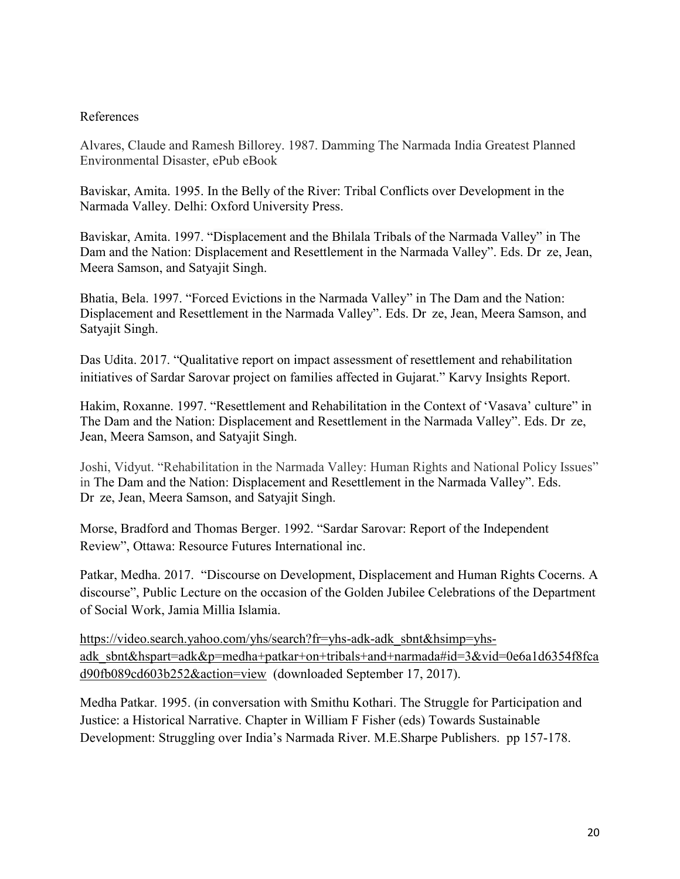## References

Alvares, Claude and Ramesh Billorey. 1987. Damming The Narmada India Greatest Planned Environmental Disaster, ePub eBook

Baviskar, Amita. 1995. In the Belly of the River: Tribal Conflicts over Development in the Narmada Valley. Delhi: Oxford University Press.

Baviskar, Amita. 1997. "Displacement and the Bhilala Tribals of the Narmada Valley" in The Dam and the Nation: Displacement and Resettlement in the Narmada Valley". Eds. Dr ze, Jean, Meera Samson, and Satyajit Singh.

Bhatia, Bela. 1997. "Forced Evictions in the Narmada Valley" in The Dam and the Nation: Displacement and Resettlement in the Narmada Valley". Eds. Dr ze, Jean, Meera Samson, and Satyajit Singh.

Das Udita. 2017. "Qualitative report on impact assessment of resettlement and rehabilitation initiatives of Sardar Sarovar project on families affected in Gujarat." Karvy Insights Report.

Hakim, Roxanne. 1997. "Resettlement and Rehabilitation in the Context of 'Vasava' culture" in The Dam and the Nation: Displacement and Resettlement in the Narmada Valley". Eds. Dr ze, Jean, Meera Samson, and Satyajit Singh.

Joshi, Vidyut. "Rehabilitation in the Narmada Valley: Human Rights and National Policy Issues" in The Dam and the Nation: Displacement and Resettlement in the Narmada Valley". Eds. Dr ze, Jean, Meera Samson, and Satyajit Singh.

Morse, Bradford and Thomas Berger. 1992. "Sardar Sarovar: Report of the Independent Review", Ottawa: Resource Futures International inc.

Patkar, Medha. 2017. "Discourse on Development, Displacement and Human Rights Cocerns. A discourse", Public Lecture on the occasion of the Golden Jubilee Celebrations of the Department of Social Work, Jamia Millia Islamia.

[https://video.search.yahoo.com/yhs/search?fr=yhs-adk-adk\\_sbnt&hsimp=yhs](https://video.search.yahoo.com/yhs/search?fr=yhs-adk-adk_sbnt&hsimp=yhs-adk_sbnt&hspart=adk&p=medha+patkar+on+tribals+and+narmada#id=3&vid=0e6a1d6354f8fcad90fb089cd603b252&action=view)adk sbnt&hspart=adk&p=medha+patkar+on+tribals+and+narmada#id=3&vid=0e6a1d6354f8fca [d90fb089cd603b252&action=view](https://video.search.yahoo.com/yhs/search?fr=yhs-adk-adk_sbnt&hsimp=yhs-adk_sbnt&hspart=adk&p=medha+patkar+on+tribals+and+narmada#id=3&vid=0e6a1d6354f8fcad90fb089cd603b252&action=view) (downloaded September 17, 2017).

Medha Patkar. 1995. (in conversation with Smithu Kothari. The Struggle for Participation and Justice: a Historical Narrative. Chapter in William F Fisher (eds) Towards Sustainable Development: Struggling over India's Narmada River. M.E.Sharpe Publishers. pp 157-178.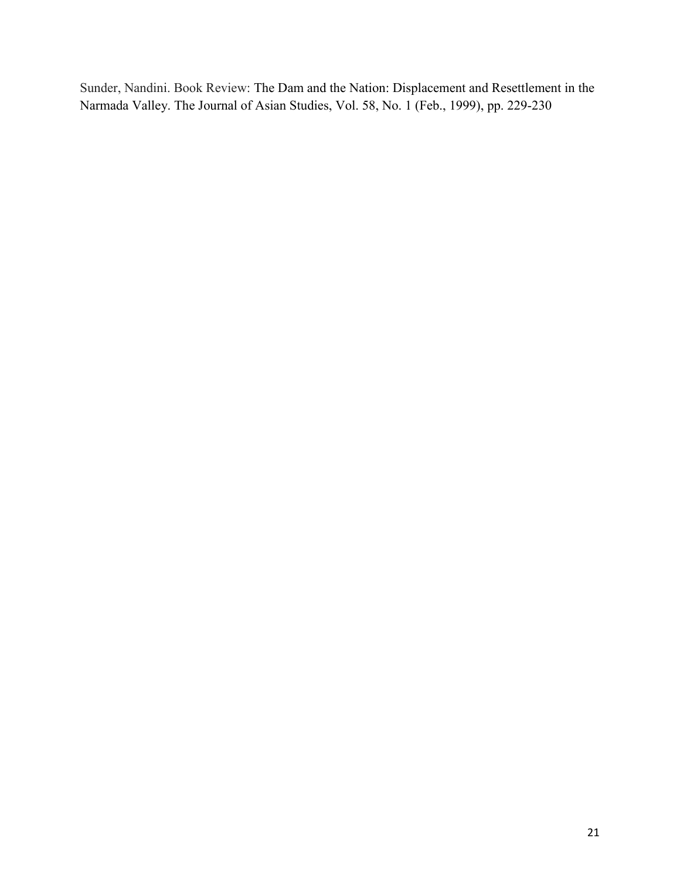Sunder, Nandini. Book Review: The Dam and the Nation: Displacement and Resettlement in the Narmada Valley. The Journal of Asian Studies, Vol. 58, No. 1 (Feb., 1999), pp. 229-230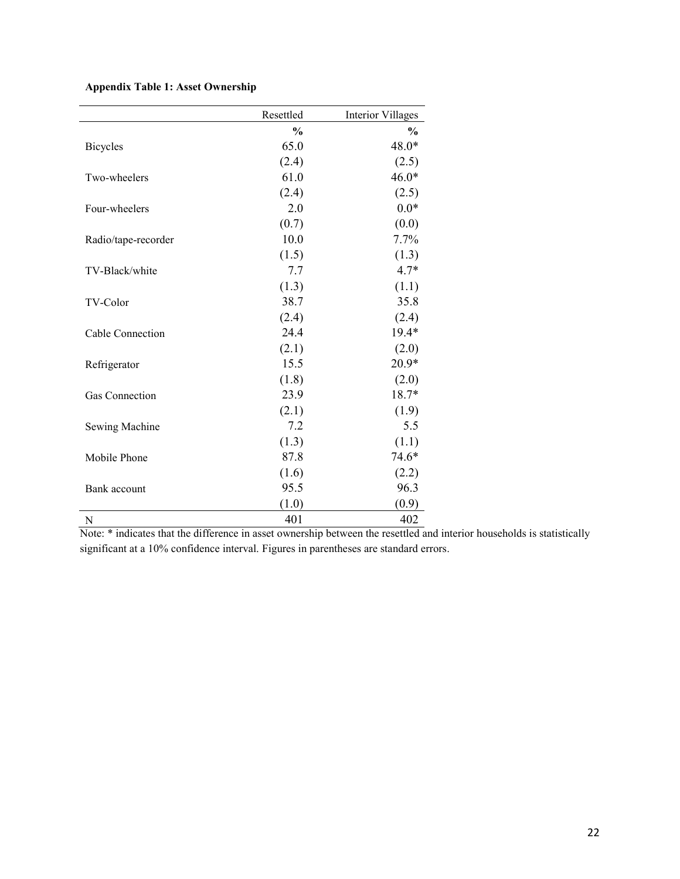## **Appendix Table 1: Asset Ownership**

|                     | Resettled     | <b>Interior Villages</b> |
|---------------------|---------------|--------------------------|
|                     | $\frac{0}{0}$ | $\frac{0}{0}$            |
| <b>Bicycles</b>     | 65.0          | 48.0*                    |
|                     | (2.4)         | (2.5)                    |
| Two-wheelers        | 61.0          | $46.0*$                  |
|                     | (2.4)         | (2.5)                    |
| Four-wheelers       | 2.0           | $0.0*$                   |
|                     | (0.7)         | (0.0)                    |
| Radio/tape-recorder | 10.0          | 7.7%                     |
|                     | (1.5)         | (1.3)                    |
| TV-Black/white      | 7.7           | $4.7*$                   |
|                     | (1.3)         | (1.1)                    |
| TV-Color            | 38.7          | 35.8                     |
|                     | (2.4)         | (2.4)                    |
| Cable Connection    | 24.4          | 19.4*                    |
|                     | (2.1)         | (2.0)                    |
| Refrigerator        | 15.5          | $20.9*$                  |
|                     | (1.8)         | (2.0)                    |
| Gas Connection      | 23.9          | 18.7*                    |
|                     | (2.1)         | (1.9)                    |
| Sewing Machine      | 7.2           | 5.5                      |
|                     | (1.3)         | (1.1)                    |
| Mobile Phone        | 87.8          | 74.6*                    |
|                     | (1.6)         | (2.2)                    |
| Bank account        | 95.5          | 96.3                     |
|                     | (1.0)         | (0.9)                    |
| N                   | 401           | 402                      |

Note: \* indicates that the difference in asset ownership between the resettled and interior households is statistically significant at a 10% confidence interval. Figures in parentheses are standard errors.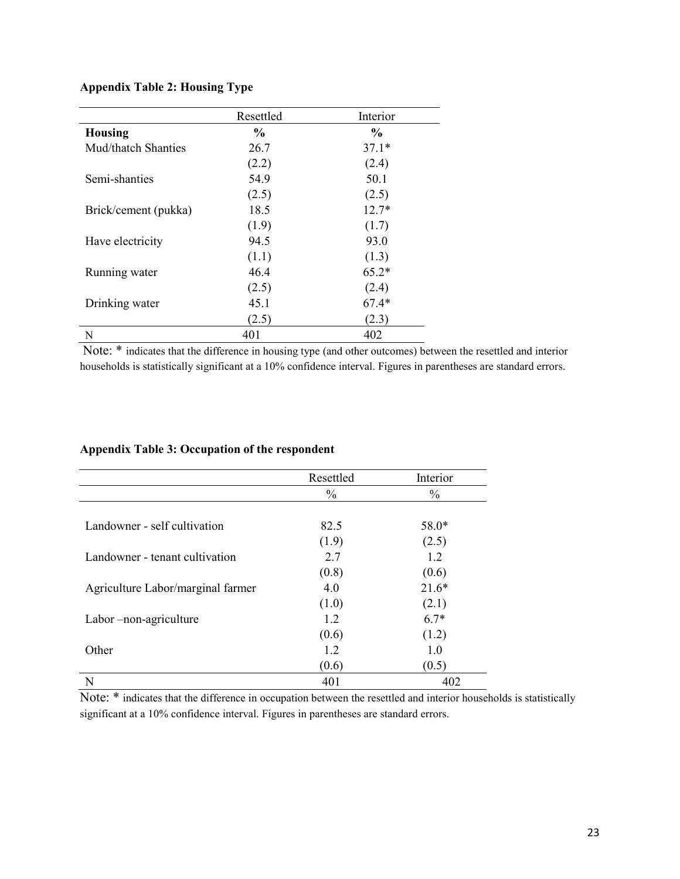## **Appendix Table 2: Housing Type**

|                      | Resettled | Interior      |
|----------------------|-----------|---------------|
| <b>Housing</b>       | $\%$      | $\frac{6}{9}$ |
| Mud/thatch Shanties  | 26.7      | $37.1*$       |
|                      | (2.2)     | (2.4)         |
| Semi-shanties        | 54.9      | 50.1          |
|                      | (2.5)     | (2.5)         |
| Brick/cement (pukka) | 18.5      | $12.7*$       |
|                      | (1.9)     | (1.7)         |
| Have electricity     | 94.5      | 93.0          |
|                      | (1.1)     | (1.3)         |
| Running water        | 46.4      | $65.2*$       |
|                      | (2.5)     | (2.4)         |
| Drinking water       | 45.1      | $67.4*$       |
|                      | (2.5)     | (2.3)         |
| N                    | 401       | 402           |

Note: \* indicates that the difference in housing type (and other outcomes) between the resettled and interior households is statistically significant at a 10% confidence interval. Figures in parentheses are standard errors.

#### **Appendix Table 3: Occupation of the respondent**

|                                   | Resettled     | Interior      |
|-----------------------------------|---------------|---------------|
|                                   | $\frac{0}{0}$ | $\frac{0}{0}$ |
|                                   |               |               |
| Landowner - self cultivation      | 82.5          | 58.0*         |
|                                   | (1.9)         | (2.5)         |
| Landowner - tenant cultivation    | 2.7           | 1.2           |
|                                   | (0.8)         | (0.6)         |
| Agriculture Labor/marginal farmer | 4.0           | $21.6*$       |
|                                   | (1.0)         | (2.1)         |
| Labor-non-agriculture             | 1.2           | $6.7*$        |
|                                   | (0.6)         | (1.2)         |
| Other                             | 1.2           | 1.0           |
|                                   | (0.6)         | (0.5)         |
| N                                 | 401           | 402           |

Note: \* indicates that the difference in occupation between the resettled and interior households is statistically significant at a 10% confidence interval. Figures in parentheses are standard errors.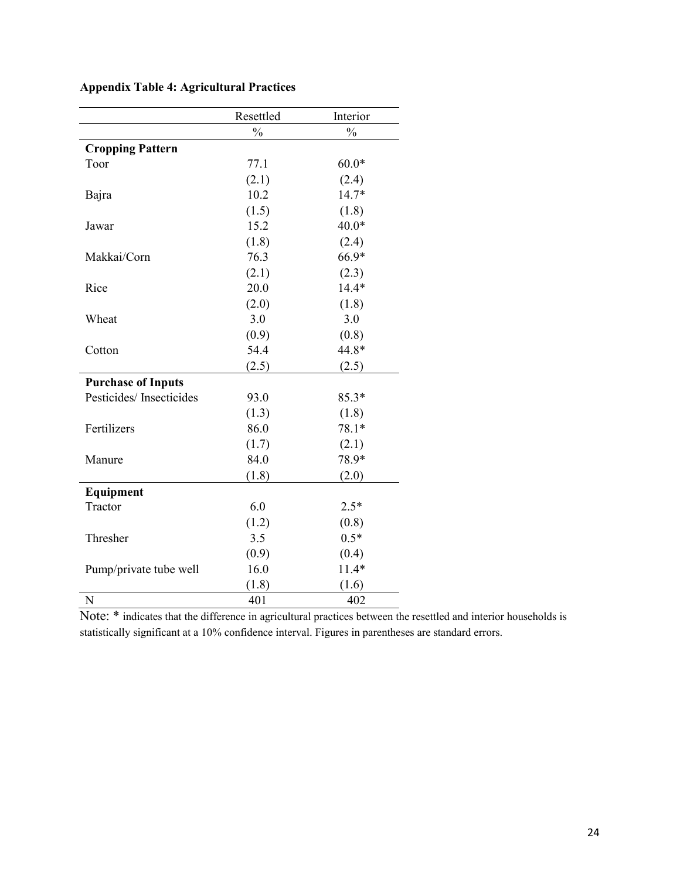|                           | Resettled     | Interior      |
|---------------------------|---------------|---------------|
|                           | $\frac{0}{0}$ | $\frac{0}{0}$ |
| <b>Cropping Pattern</b>   |               |               |
| Toor                      | 77.1          | $60.0*$       |
|                           | (2.1)         | (2.4)         |
| Bajra                     | 10.2          | 14.7*         |
|                           | (1.5)         | (1.8)         |
| Jawar                     | 15.2          | $40.0*$       |
|                           | (1.8)         | (2.4)         |
| Makkai/Corn               | 76.3          | 66.9*         |
|                           | (2.1)         | (2.3)         |
| Rice                      | 20.0          | $14.4*$       |
|                           | (2.0)         | (1.8)         |
| Wheat                     | 3.0           | 3.0           |
|                           | (0.9)         | (0.8)         |
| Cotton                    | 54.4          | 44.8*         |
|                           | (2.5)         | (2.5)         |
| <b>Purchase of Inputs</b> |               |               |
| Pesticides/Insecticides   | 93.0          | $85.3*$       |
|                           | (1.3)         | (1.8)         |
| Fertilizers               | 86.0          | $78.1*$       |
|                           | (1.7)         | (2.1)         |
| Manure                    | 84.0          | 78.9*         |
|                           | (1.8)         | (2.0)         |
| Equipment                 |               |               |
| Tractor                   | 6.0           | $2.5*$        |
|                           | (1.2)         | (0.8)         |
| Thresher                  | 3.5           | $0.5*$        |
|                           | (0.9)         | (0.4)         |
| Pump/private tube well    | 16.0          | $11.4*$       |
|                           | (1.8)         | (1.6)         |
| N                         | 401           | 402           |

## **Appendix Table 4: Agricultural Practices**

Note: \* indicates that the difference in agricultural practices between the resettled and interior households is statistically significant at a 10% confidence interval. Figures in parentheses are standard errors.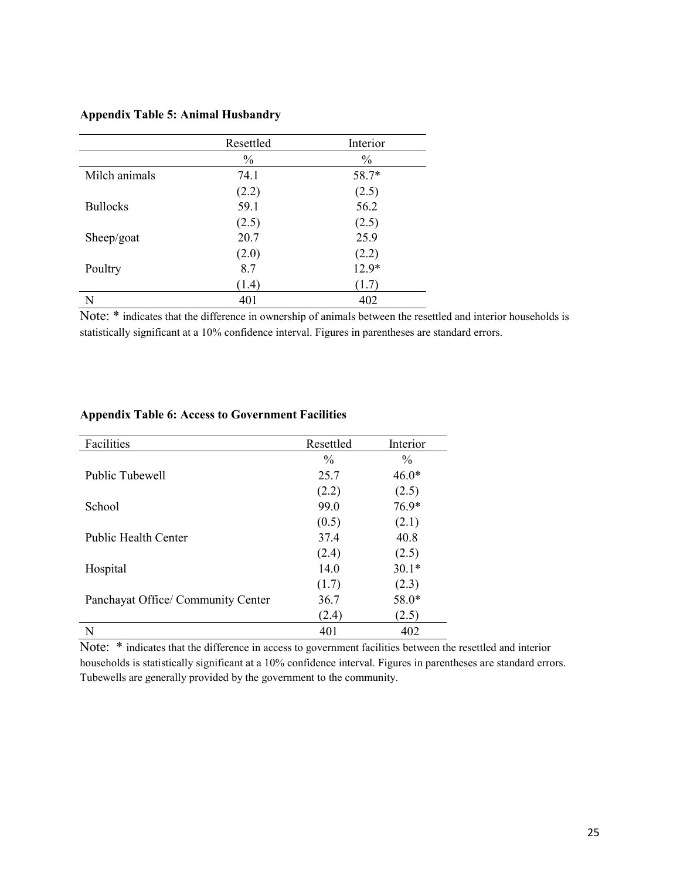#### **Appendix Table 5: Animal Husbandry**

|                 | Resettled     | Interior      |
|-----------------|---------------|---------------|
|                 | $\frac{0}{0}$ | $\frac{0}{0}$ |
| Milch animals   | 74.1          | 58.7*         |
|                 | (2.2)         | (2.5)         |
| <b>Bullocks</b> | 59.1          | 56.2          |
|                 | (2.5)         | (2.5)         |
| Sheep/goat      | 20.7          | 25.9          |
|                 | (2.0)         | (2.2)         |
| Poultry         | 8.7           | 12.9*         |
|                 | (1.4)         | (1.7)         |
| N               | 401           | 402           |

Note: \* indicates that the difference in ownership of animals between the resettled and interior households is statistically significant at a 10% confidence interval. Figures in parentheses are standard errors.

| Facilities                         | Resettled     | Interior      |  |
|------------------------------------|---------------|---------------|--|
|                                    | $\frac{0}{0}$ | $\frac{0}{0}$ |  |
| Public Tubewell                    | 25.7          | $46.0*$       |  |
|                                    | (2.2)         | (2.5)         |  |
| School                             | 99.0          | $76.9*$       |  |
|                                    | (0.5)         | (2.1)         |  |
| <b>Public Health Center</b>        | 37.4          | 40.8          |  |
|                                    | (2.4)         | (2.5)         |  |
| Hospital                           | 14.0          | $30.1*$       |  |
|                                    | (1.7)         | (2.3)         |  |
| Panchayat Office/ Community Center | 36.7          | 58.0*         |  |
|                                    | (2.4)         | (2.5)         |  |
| N                                  | 401           | 402           |  |

#### **Appendix Table 6: Access to Government Facilities**

Note: \* indicates that the difference in access to government facilities between the resettled and interior households is statistically significant at a 10% confidence interval. Figures in parentheses are standard errors. Tubewells are generally provided by the government to the community.